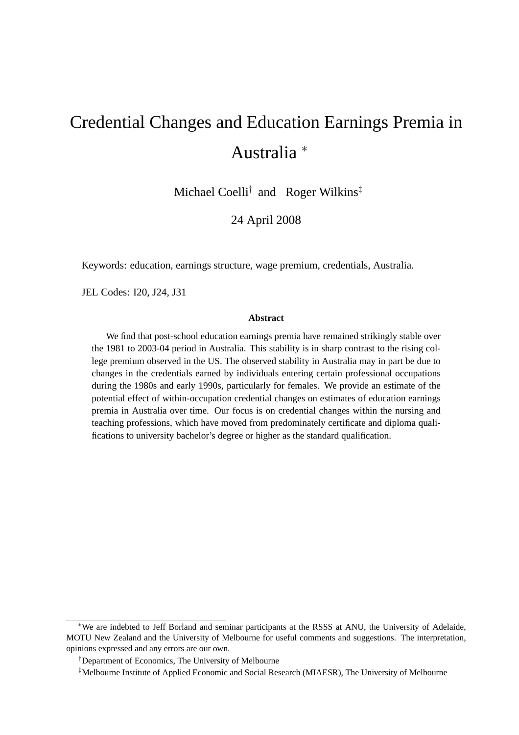# Credential Changes and Education Earnings Premia in Australia <sup>∗</sup>

Michael Coelli<sup>†</sup> and Roger Wilkins<sup>‡</sup>

24 April 2008

Keywords: education, earnings structure, wage premium, credentials, Australia.

JEL Codes: I20, J24, J31

#### **Abstract**

We find that post-school education earnings premia have remained strikingly stable over the 1981 to 2003-04 period in Australia. This stability is in sharp contrast to the rising college premium observed in the US. The observed stability in Australia may in part be due to changes in the credentials earned by individuals entering certain professional occupations during the 1980s and early 1990s, particularly for females. We provide an estimate of the potential effect of within-occupation credential changes on estimates of education earnings premia in Australia over time. Our focus is on credential changes within the nursing and teaching professions, which have moved from predominately certificate and diploma qualifications to university bachelor's degree or higher as the standard qualification.

<sup>∗</sup>We are indebted to Jeff Borland and seminar participants at the RSSS at ANU, the University of Adelaide, MOTU New Zealand and the University of Melbourne for useful comments and suggestions. The interpretation, opinions expressed and any errors are our own.

<sup>†</sup>Department of Economics, The University of Melbourne

<sup>‡</sup>Melbourne Institute of Applied Economic and Social Research (MIAESR), The University of Melbourne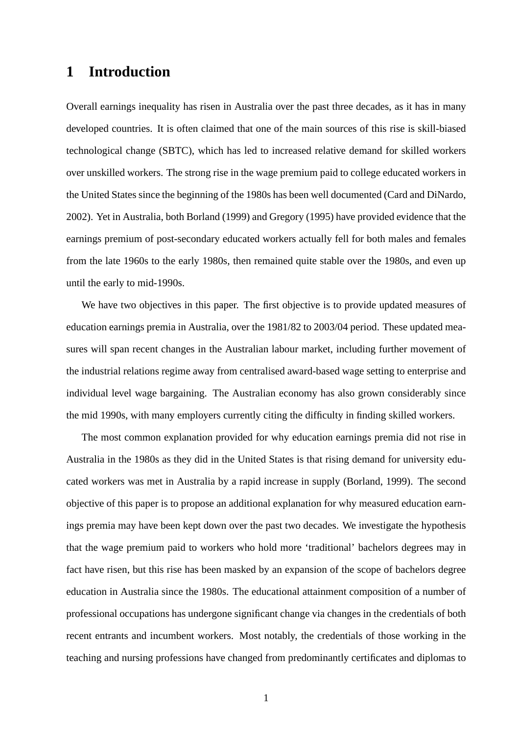## **1 Introduction**

Overall earnings inequality has risen in Australia over the past three decades, as it has in many developed countries. It is often claimed that one of the main sources of this rise is skill-biased technological change (SBTC), which has led to increased relative demand for skilled workers over unskilled workers. The strong rise in the wage premium paid to college educated workers in the United States since the beginning of the 1980s has been well documented (Card and DiNardo, 2002). Yet in Australia, both Borland (1999) and Gregory (1995) have provided evidence that the earnings premium of post-secondary educated workers actually fell for both males and females from the late 1960s to the early 1980s, then remained quite stable over the 1980s, and even up until the early to mid-1990s.

We have two objectives in this paper. The first objective is to provide updated measures of education earnings premia in Australia, over the 1981/82 to 2003/04 period. These updated measures will span recent changes in the Australian labour market, including further movement of the industrial relations regime away from centralised award-based wage setting to enterprise and individual level wage bargaining. The Australian economy has also grown considerably since the mid 1990s, with many employers currently citing the difficulty in finding skilled workers.

The most common explanation provided for why education earnings premia did not rise in Australia in the 1980s as they did in the United States is that rising demand for university educated workers was met in Australia by a rapid increase in supply (Borland, 1999). The second objective of this paper is to propose an additional explanation for why measured education earnings premia may have been kept down over the past two decades. We investigate the hypothesis that the wage premium paid to workers who hold more 'traditional' bachelors degrees may in fact have risen, but this rise has been masked by an expansion of the scope of bachelors degree education in Australia since the 1980s. The educational attainment composition of a number of professional occupations has undergone significant change via changes in the credentials of both recent entrants and incumbent workers. Most notably, the credentials of those working in the teaching and nursing professions have changed from predominantly certificates and diplomas to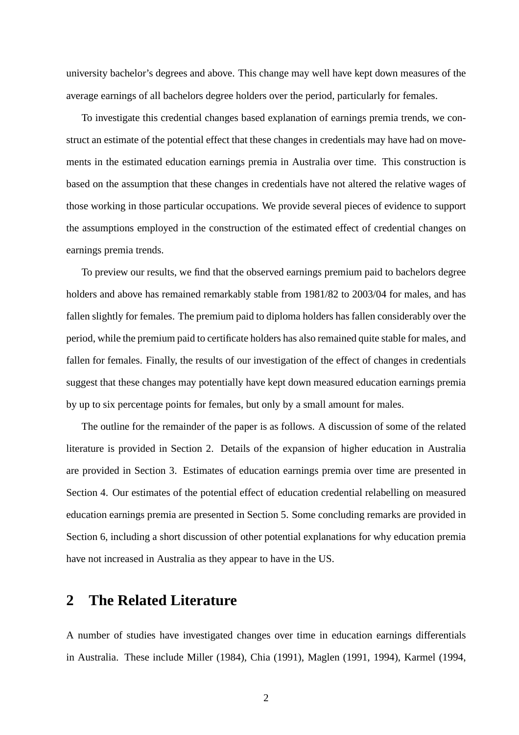university bachelor's degrees and above. This change may well have kept down measures of the average earnings of all bachelors degree holders over the period, particularly for females.

To investigate this credential changes based explanation of earnings premia trends, we construct an estimate of the potential effect that these changes in credentials may have had on movements in the estimated education earnings premia in Australia over time. This construction is based on the assumption that these changes in credentials have not altered the relative wages of those working in those particular occupations. We provide several pieces of evidence to support the assumptions employed in the construction of the estimated effect of credential changes on earnings premia trends.

To preview our results, we find that the observed earnings premium paid to bachelors degree holders and above has remained remarkably stable from 1981/82 to 2003/04 for males, and has fallen slightly for females. The premium paid to diploma holders has fallen considerably over the period, while the premium paid to certificate holders has also remained quite stable for males, and fallen for females. Finally, the results of our investigation of the effect of changes in credentials suggest that these changes may potentially have kept down measured education earnings premia by up to six percentage points for females, but only by a small amount for males.

The outline for the remainder of the paper is as follows. A discussion of some of the related literature is provided in Section 2. Details of the expansion of higher education in Australia are provided in Section 3. Estimates of education earnings premia over time are presented in Section 4. Our estimates of the potential effect of education credential relabelling on measured education earnings premia are presented in Section 5. Some concluding remarks are provided in Section 6, including a short discussion of other potential explanations for why education premia have not increased in Australia as they appear to have in the US.

# **2 The Related Literature**

A number of studies have investigated changes over time in education earnings differentials in Australia. These include Miller (1984), Chia (1991), Maglen (1991, 1994), Karmel (1994,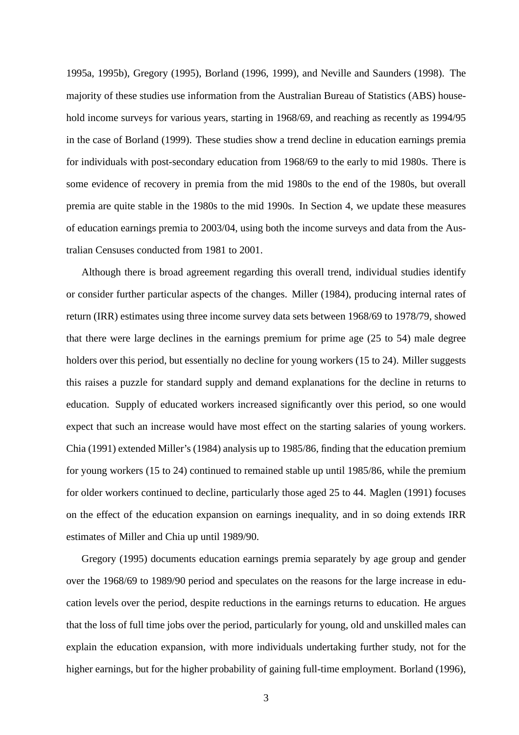1995a, 1995b), Gregory (1995), Borland (1996, 1999), and Neville and Saunders (1998). The majority of these studies use information from the Australian Bureau of Statistics (ABS) household income surveys for various years, starting in 1968/69, and reaching as recently as 1994/95 in the case of Borland (1999). These studies show a trend decline in education earnings premia for individuals with post-secondary education from 1968/69 to the early to mid 1980s. There is some evidence of recovery in premia from the mid 1980s to the end of the 1980s, but overall premia are quite stable in the 1980s to the mid 1990s. In Section 4, we update these measures of education earnings premia to 2003/04, using both the income surveys and data from the Australian Censuses conducted from 1981 to 2001.

Although there is broad agreement regarding this overall trend, individual studies identify or consider further particular aspects of the changes. Miller (1984), producing internal rates of return (IRR) estimates using three income survey data sets between 1968/69 to 1978/79, showed that there were large declines in the earnings premium for prime age (25 to 54) male degree holders over this period, but essentially no decline for young workers (15 to 24). Miller suggests this raises a puzzle for standard supply and demand explanations for the decline in returns to education. Supply of educated workers increased significantly over this period, so one would expect that such an increase would have most effect on the starting salaries of young workers. Chia (1991) extended Miller's (1984) analysis up to 1985/86, finding that the education premium for young workers (15 to 24) continued to remained stable up until 1985/86, while the premium for older workers continued to decline, particularly those aged 25 to 44. Maglen (1991) focuses on the effect of the education expansion on earnings inequality, and in so doing extends IRR estimates of Miller and Chia up until 1989/90.

Gregory (1995) documents education earnings premia separately by age group and gender over the 1968/69 to 1989/90 period and speculates on the reasons for the large increase in education levels over the period, despite reductions in the earnings returns to education. He argues that the loss of full time jobs over the period, particularly for young, old and unskilled males can explain the education expansion, with more individuals undertaking further study, not for the higher earnings, but for the higher probability of gaining full-time employment. Borland (1996),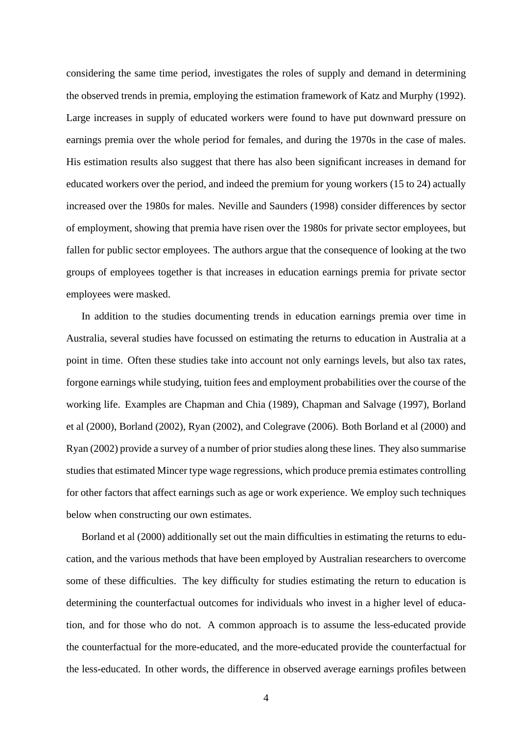considering the same time period, investigates the roles of supply and demand in determining the observed trends in premia, employing the estimation framework of Katz and Murphy (1992). Large increases in supply of educated workers were found to have put downward pressure on earnings premia over the whole period for females, and during the 1970s in the case of males. His estimation results also suggest that there has also been significant increases in demand for educated workers over the period, and indeed the premium for young workers (15 to 24) actually increased over the 1980s for males. Neville and Saunders (1998) consider differences by sector of employment, showing that premia have risen over the 1980s for private sector employees, but fallen for public sector employees. The authors argue that the consequence of looking at the two groups of employees together is that increases in education earnings premia for private sector employees were masked.

In addition to the studies documenting trends in education earnings premia over time in Australia, several studies have focussed on estimating the returns to education in Australia at a point in time. Often these studies take into account not only earnings levels, but also tax rates, forgone earnings while studying, tuition fees and employment probabilities over the course of the working life. Examples are Chapman and Chia (1989), Chapman and Salvage (1997), Borland et al (2000), Borland (2002), Ryan (2002), and Colegrave (2006). Both Borland et al (2000) and Ryan (2002) provide a survey of a number of prior studies along these lines. They also summarise studies that estimated Mincer type wage regressions, which produce premia estimates controlling for other factors that affect earnings such as age or work experience. We employ such techniques below when constructing our own estimates.

Borland et al (2000) additionally set out the main difficulties in estimating the returns to education, and the various methods that have been employed by Australian researchers to overcome some of these difficulties. The key difficulty for studies estimating the return to education is determining the counterfactual outcomes for individuals who invest in a higher level of education, and for those who do not. A common approach is to assume the less-educated provide the counterfactual for the more-educated, and the more-educated provide the counterfactual for the less-educated. In other words, the difference in observed average earnings profiles between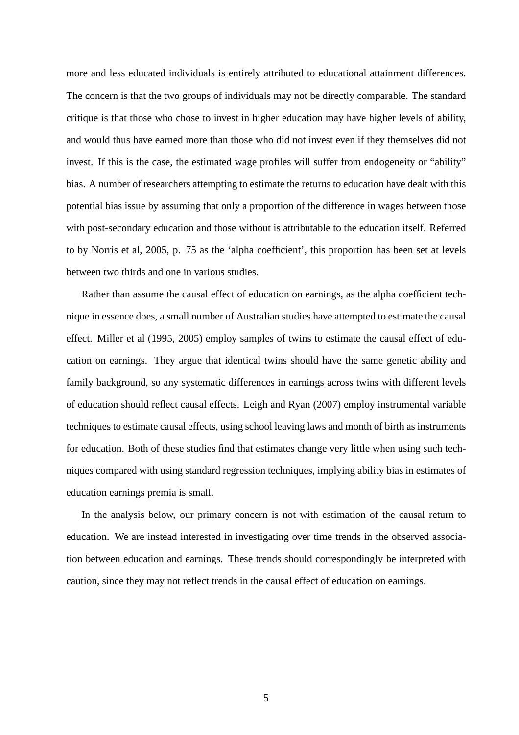more and less educated individuals is entirely attributed to educational attainment differences. The concern is that the two groups of individuals may not be directly comparable. The standard critique is that those who chose to invest in higher education may have higher levels of ability, and would thus have earned more than those who did not invest even if they themselves did not invest. If this is the case, the estimated wage profiles will suffer from endogeneity or "ability" bias. A number of researchers attempting to estimate the returns to education have dealt with this potential bias issue by assuming that only a proportion of the difference in wages between those with post-secondary education and those without is attributable to the education itself. Referred to by Norris et al, 2005, p. 75 as the 'alpha coefficient', this proportion has been set at levels between two thirds and one in various studies.

Rather than assume the causal effect of education on earnings, as the alpha coefficient technique in essence does, a small number of Australian studies have attempted to estimate the causal effect. Miller et al (1995, 2005) employ samples of twins to estimate the causal effect of education on earnings. They argue that identical twins should have the same genetic ability and family background, so any systematic differences in earnings across twins with different levels of education should reflect causal effects. Leigh and Ryan (2007) employ instrumental variable techniques to estimate causal effects, using school leaving laws and month of birth as instruments for education. Both of these studies find that estimates change very little when using such techniques compared with using standard regression techniques, implying ability bias in estimates of education earnings premia is small.

In the analysis below, our primary concern is not with estimation of the causal return to education. We are instead interested in investigating over time trends in the observed association between education and earnings. These trends should correspondingly be interpreted with caution, since they may not reflect trends in the causal effect of education on earnings.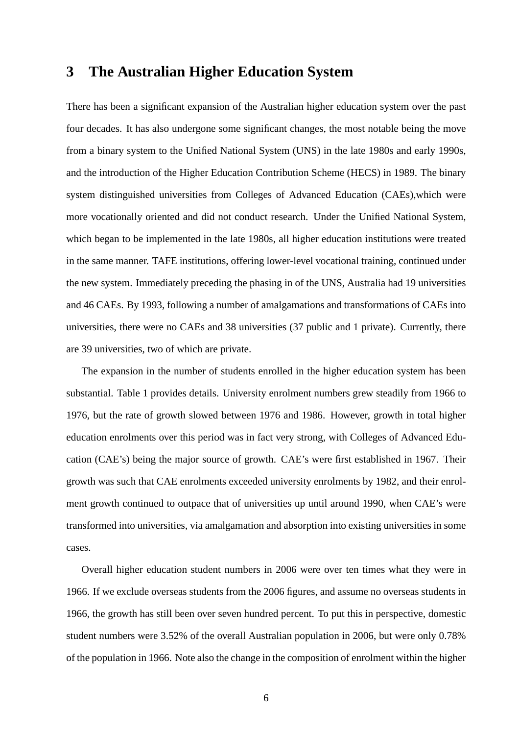### **3 The Australian Higher Education System**

There has been a significant expansion of the Australian higher education system over the past four decades. It has also undergone some significant changes, the most notable being the move from a binary system to the Unified National System (UNS) in the late 1980s and early 1990s, and the introduction of the Higher Education Contribution Scheme (HECS) in 1989. The binary system distinguished universities from Colleges of Advanced Education (CAEs),which were more vocationally oriented and did not conduct research. Under the Unified National System, which began to be implemented in the late 1980s, all higher education institutions were treated in the same manner. TAFE institutions, offering lower-level vocational training, continued under the new system. Immediately preceding the phasing in of the UNS, Australia had 19 universities and 46 CAEs. By 1993, following a number of amalgamations and transformations of CAEs into universities, there were no CAEs and 38 universities (37 public and 1 private). Currently, there are 39 universities, two of which are private.

The expansion in the number of students enrolled in the higher education system has been substantial. Table 1 provides details. University enrolment numbers grew steadily from 1966 to 1976, but the rate of growth slowed between 1976 and 1986. However, growth in total higher education enrolments over this period was in fact very strong, with Colleges of Advanced Education (CAE's) being the major source of growth. CAE's were first established in 1967. Their growth was such that CAE enrolments exceeded university enrolments by 1982, and their enrolment growth continued to outpace that of universities up until around 1990, when CAE's were transformed into universities, via amalgamation and absorption into existing universities in some cases.

Overall higher education student numbers in 2006 were over ten times what they were in 1966. If we exclude overseas students from the 2006 figures, and assume no overseas students in 1966, the growth has still been over seven hundred percent. To put this in perspective, domestic student numbers were 3.52% of the overall Australian population in 2006, but were only 0.78% of the population in 1966. Note also the change in the composition of enrolment within the higher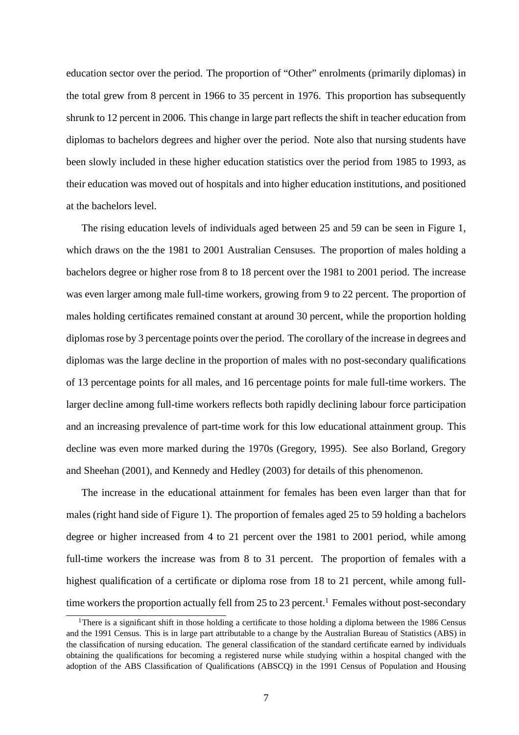education sector over the period. The proportion of "Other" enrolments (primarily diplomas) in the total grew from 8 percent in 1966 to 35 percent in 1976. This proportion has subsequently shrunk to 12 percent in 2006. This change in large part reflects the shift in teacher education from diplomas to bachelors degrees and higher over the period. Note also that nursing students have been slowly included in these higher education statistics over the period from 1985 to 1993, as their education was moved out of hospitals and into higher education institutions, and positioned at the bachelors level.

The rising education levels of individuals aged between 25 and 59 can be seen in Figure 1, which draws on the the 1981 to 2001 Australian Censuses. The proportion of males holding a bachelors degree or higher rose from 8 to 18 percent over the 1981 to 2001 period. The increase was even larger among male full-time workers, growing from 9 to 22 percent. The proportion of males holding certificates remained constant at around 30 percent, while the proportion holding diplomas rose by 3 percentage points over the period. The corollary of the increase in degrees and diplomas was the large decline in the proportion of males with no post-secondary qualifications of 13 percentage points for all males, and 16 percentage points for male full-time workers. The larger decline among full-time workers reflects both rapidly declining labour force participation and an increasing prevalence of part-time work for this low educational attainment group. This decline was even more marked during the 1970s (Gregory, 1995). See also Borland, Gregory and Sheehan (2001), and Kennedy and Hedley (2003) for details of this phenomenon.

The increase in the educational attainment for females has been even larger than that for males (right hand side of Figure 1). The proportion of females aged 25 to 59 holding a bachelors degree or higher increased from 4 to 21 percent over the 1981 to 2001 period, while among full-time workers the increase was from 8 to 31 percent. The proportion of females with a highest qualification of a certificate or diploma rose from 18 to 21 percent, while among fulltime workers the proportion actually fell from  $25$  to  $23$  percent.<sup>1</sup> Females without post-secondary

<sup>&</sup>lt;sup>1</sup>There is a significant shift in those holding a certificate to those holding a diploma between the 1986 Census and the 1991 Census. This is in large part attributable to a change by the Australian Bureau of Statistics (ABS) in the classification of nursing education. The general classification of the standard certificate earned by individuals obtaining the qualifications for becoming a registered nurse while studying within a hospital changed with the adoption of the ABS Classification of Qualifications (ABSCQ) in the 1991 Census of Population and Housing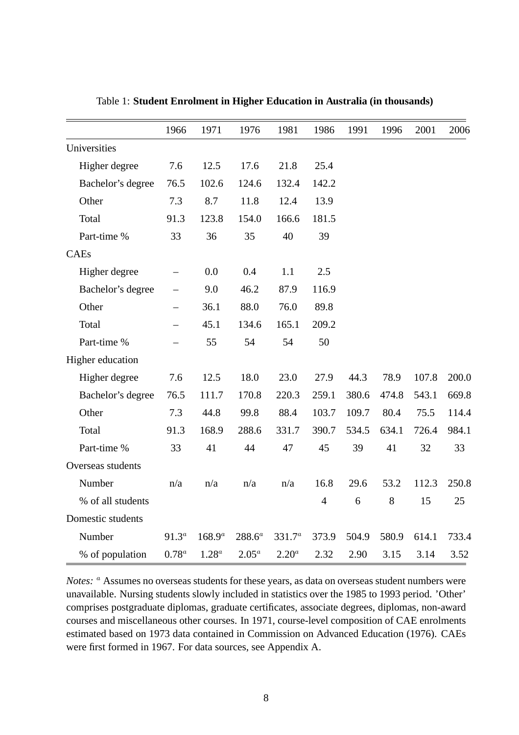|                   | 1966     | 1971        | 1976      | 1981      | 1986           | 1991  | 1996  | 2001  | 2006  |
|-------------------|----------|-------------|-----------|-----------|----------------|-------|-------|-------|-------|
| Universities      |          |             |           |           |                |       |       |       |       |
| Higher degree     | 7.6      | 12.5        | 17.6      | 21.8      | 25.4           |       |       |       |       |
| Bachelor's degree | 76.5     | 102.6       | 124.6     | 132.4     | 142.2          |       |       |       |       |
| Other             | 7.3      | 8.7         | 11.8      | 12.4      | 13.9           |       |       |       |       |
| Total             | 91.3     | 123.8       | 154.0     | 166.6     | 181.5          |       |       |       |       |
| Part-time %       | 33       | 36          | 35        | 40        | 39             |       |       |       |       |
| CAEs              |          |             |           |           |                |       |       |       |       |
| Higher degree     |          | 0.0         | 0.4       | 1.1       | 2.5            |       |       |       |       |
| Bachelor's degree |          | 9.0         | 46.2      | 87.9      | 116.9          |       |       |       |       |
| Other             |          | 36.1        | 88.0      | 76.0      | 89.8           |       |       |       |       |
| Total             |          | 45.1        | 134.6     | 165.1     | 209.2          |       |       |       |       |
| Part-time %       |          | 55          | 54        | 54        | 50             |       |       |       |       |
| Higher education  |          |             |           |           |                |       |       |       |       |
| Higher degree     | 7.6      | 12.5        | 18.0      | 23.0      | 27.9           | 44.3  | 78.9  | 107.8 | 200.0 |
| Bachelor's degree | 76.5     | 111.7       | 170.8     | 220.3     | 259.1          | 380.6 | 474.8 | 543.1 | 669.8 |
| Other             | 7.3      | 44.8        | 99.8      | 88.4      | 103.7          | 109.7 | 80.4  | 75.5  | 114.4 |
| Total             | 91.3     | 168.9       | 288.6     | 331.7     | 390.7          | 534.5 | 634.1 | 726.4 | 984.1 |
| Part-time %       | 33       | 41          | 44        | 47        | 45             | 39    | 41    | 32    | 33    |
| Overseas students |          |             |           |           |                |       |       |       |       |
| Number            | n/a      | n/a         | n/a       | n/a       | 16.8           | 29.6  | 53.2  | 112.3 | 250.8 |
| % of all students |          |             |           |           | $\overline{4}$ | 6     | 8     | 15    | 25    |
| Domestic students |          |             |           |           |                |       |       |       |       |
| Number            | $91.3^a$ | $168.9^{a}$ | $288.6^a$ | $331.7^a$ | 373.9          | 504.9 | 580.9 | 614.1 | 733.4 |
| % of population   | $0.78^a$ | $1.28^a$    | $2.05^a$  | $2.20^a$  | 2.32           | 2.90  | 3.15  | 3.14  | 3.52  |

Table 1: **Student Enrolment in Higher Education in Australia (in thousands)**

*Notes:* <sup>*a*</sup> Assumes no overseas students for these years, as data on overseas student numbers were unavailable. Nursing students slowly included in statistics over the 1985 to 1993 period. 'Other' comprises postgraduate diplomas, graduate certificates, associate degrees, diplomas, non-award courses and miscellaneous other courses. In 1971, course-level composition of CAE enrolments estimated based on 1973 data contained in Commission on Advanced Education (1976). CAEs were first formed in 1967. For data sources, see Appendix A.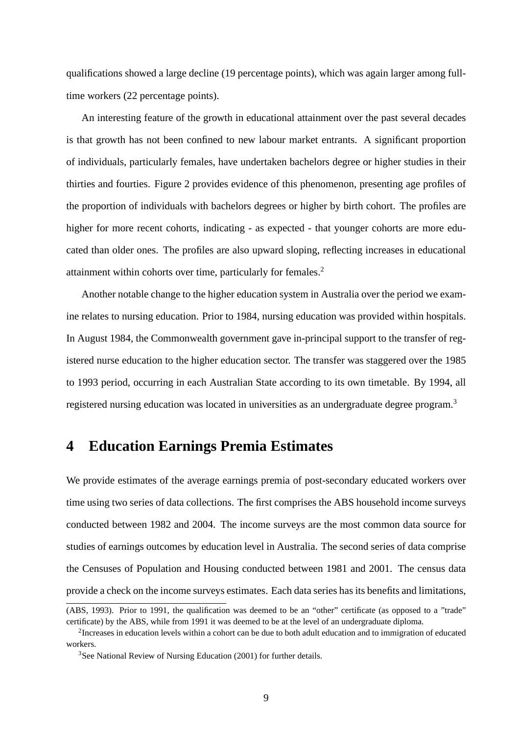qualifications showed a large decline (19 percentage points), which was again larger among fulltime workers (22 percentage points).

An interesting feature of the growth in educational attainment over the past several decades is that growth has not been confined to new labour market entrants. A significant proportion of individuals, particularly females, have undertaken bachelors degree or higher studies in their thirties and fourties. Figure 2 provides evidence of this phenomenon, presenting age profiles of the proportion of individuals with bachelors degrees or higher by birth cohort. The profiles are higher for more recent cohorts, indicating - as expected - that younger cohorts are more educated than older ones. The profiles are also upward sloping, reflecting increases in educational attainment within cohorts over time, particularly for females.<sup>2</sup>

Another notable change to the higher education system in Australia over the period we examine relates to nursing education. Prior to 1984, nursing education was provided within hospitals. In August 1984, the Commonwealth government gave in-principal support to the transfer of registered nurse education to the higher education sector. The transfer was staggered over the 1985 to 1993 period, occurring in each Australian State according to its own timetable. By 1994, all registered nursing education was located in universities as an undergraduate degree program.<sup>3</sup>

# **4 Education Earnings Premia Estimates**

We provide estimates of the average earnings premia of post-secondary educated workers over time using two series of data collections. The first comprises the ABS household income surveys conducted between 1982 and 2004. The income surveys are the most common data source for studies of earnings outcomes by education level in Australia. The second series of data comprise the Censuses of Population and Housing conducted between 1981 and 2001. The census data provide a check on the income surveys estimates. Each data series has its benefits and limitations,

<sup>(</sup>ABS, 1993). Prior to 1991, the qualification was deemed to be an "other" certificate (as opposed to a "trade" certificate) by the ABS, while from 1991 it was deemed to be at the level of an undergraduate diploma.

 $2$ Increases in education levels within a cohort can be due to both adult education and to immigration of educated workers.

<sup>&</sup>lt;sup>3</sup>See National Review of Nursing Education (2001) for further details.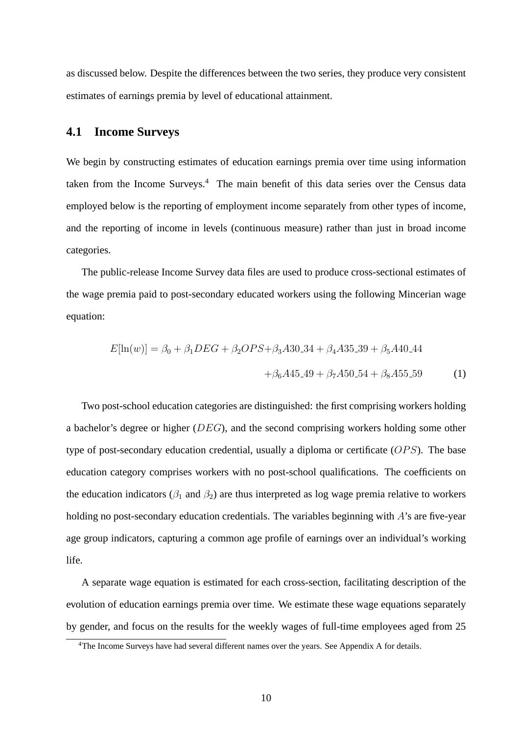as discussed below. Despite the differences between the two series, they produce very consistent estimates of earnings premia by level of educational attainment.

### **4.1 Income Surveys**

We begin by constructing estimates of education earnings premia over time using information taken from the Income Surveys.<sup>4</sup> The main benefit of this data series over the Census data employed below is the reporting of employment income separately from other types of income, and the reporting of income in levels (continuous measure) rather than just in broad income categories.

The public-release Income Survey data files are used to produce cross-sectional estimates of the wage premia paid to post-secondary educated workers using the following Mincerian wage equation:

$$
E[\ln(w)] = \beta_0 + \beta_1 DEC + \beta_2 OPS + \beta_3 A30.34 + \beta_4 A35.39 + \beta_5 A40.44
$$

$$
+ \beta_6 A45.49 + \beta_7 A50.54 + \beta_8 A55.59 \tag{1}
$$

Two post-school education categories are distinguished: the first comprising workers holding a bachelor's degree or higher ( $DEG$ ), and the second comprising workers holding some other type of post-secondary education credential, usually a diploma or certificate  $(OPS)$ . The base education category comprises workers with no post-school qualifications. The coefficients on the education indicators ( $\beta_1$  and  $\beta_2$ ) are thus interpreted as log wage premia relative to workers holding no post-secondary education credentials. The variables beginning with  $A$ 's are five-year age group indicators, capturing a common age profile of earnings over an individual's working life.

A separate wage equation is estimated for each cross-section, facilitating description of the evolution of education earnings premia over time. We estimate these wage equations separately by gender, and focus on the results for the weekly wages of full-time employees aged from 25

<sup>&</sup>lt;sup>4</sup>The Income Surveys have had several different names over the years. See Appendix A for details.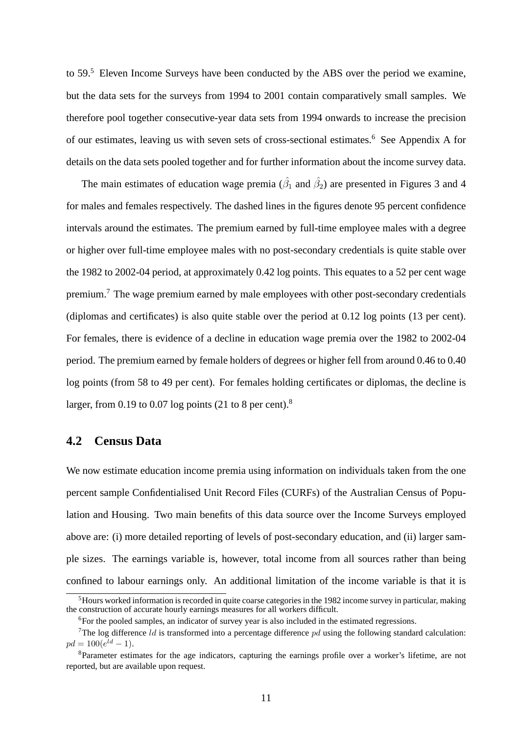to 59.<sup>5</sup> Eleven Income Surveys have been conducted by the ABS over the period we examine, but the data sets for the surveys from 1994 to 2001 contain comparatively small samples. We therefore pool together consecutive-year data sets from 1994 onwards to increase the precision of our estimates, leaving us with seven sets of cross-sectional estimates.<sup>6</sup> See Appendix A for details on the data sets pooled together and for further information about the income survey data.

The main estimates of education wage premia ( $\hat{\beta}_1$  and  $\hat{\beta}_2$ ) are presented in Figures 3 and 4 for males and females respectively. The dashed lines in the figures denote 95 percent confidence intervals around the estimates. The premium earned by full-time employee males with a degree or higher over full-time employee males with no post-secondary credentials is quite stable over the 1982 to 2002-04 period, at approximately 0.42 log points. This equates to a 52 per cent wage premium.<sup>7</sup> The wage premium earned by male employees with other post-secondary credentials (diplomas and certificates) is also quite stable over the period at 0.12 log points (13 per cent). For females, there is evidence of a decline in education wage premia over the 1982 to 2002-04 period. The premium earned by female holders of degrees or higher fell from around 0.46 to 0.40 log points (from 58 to 49 per cent). For females holding certificates or diplomas, the decline is larger, from 0.19 to 0.07 log points (21 to 8 per cent).<sup>8</sup>

### **4.2 Census Data**

We now estimate education income premia using information on individuals taken from the one percent sample Confidentialised Unit Record Files (CURFs) of the Australian Census of Population and Housing. Two main benefits of this data source over the Income Surveys employed above are: (i) more detailed reporting of levels of post-secondary education, and (ii) larger sample sizes. The earnings variable is, however, total income from all sources rather than being confined to labour earnings only. An additional limitation of the income variable is that it is

 $<sup>5</sup>$  Hours worked information is recorded in quite coarse categories in the 1982 income survey in particular, making</sup> the construction of accurate hourly earnings measures for all workers difficult.

<sup>&</sup>lt;sup>6</sup>For the pooled samples, an indicator of survey year is also included in the estimated regressions.

<sup>&</sup>lt;sup>7</sup>The log difference *ld* is transformed into a percentage difference  $pd$  using the following standard calculation:  $pd = 100(e^{ld} - 1).$ 

<sup>8</sup>Parameter estimates for the age indicators, capturing the earnings profile over a worker's lifetime, are not reported, but are available upon request.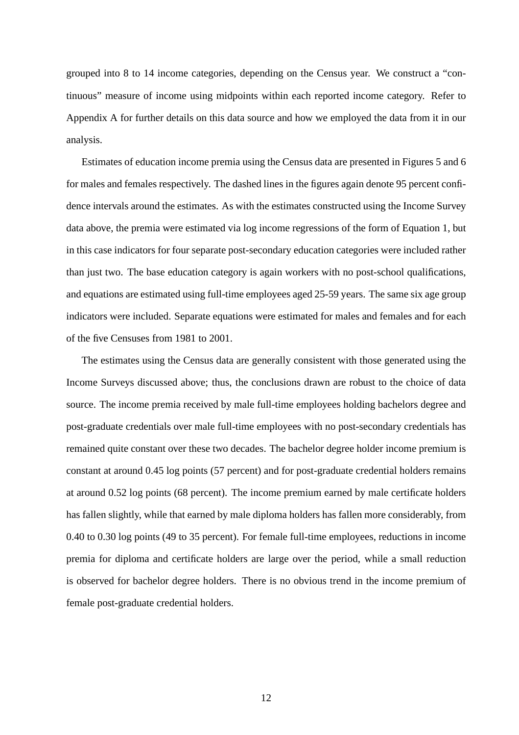grouped into 8 to 14 income categories, depending on the Census year. We construct a "continuous" measure of income using midpoints within each reported income category. Refer to Appendix A for further details on this data source and how we employed the data from it in our analysis.

Estimates of education income premia using the Census data are presented in Figures 5 and 6 for males and females respectively. The dashed lines in the figures again denote 95 percent confidence intervals around the estimates. As with the estimates constructed using the Income Survey data above, the premia were estimated via log income regressions of the form of Equation 1, but in this case indicators for four separate post-secondary education categories were included rather than just two. The base education category is again workers with no post-school qualifications, and equations are estimated using full-time employees aged 25-59 years. The same six age group indicators were included. Separate equations were estimated for males and females and for each of the five Censuses from 1981 to 2001.

The estimates using the Census data are generally consistent with those generated using the Income Surveys discussed above; thus, the conclusions drawn are robust to the choice of data source. The income premia received by male full-time employees holding bachelors degree and post-graduate credentials over male full-time employees with no post-secondary credentials has remained quite constant over these two decades. The bachelor degree holder income premium is constant at around 0.45 log points (57 percent) and for post-graduate credential holders remains at around 0.52 log points (68 percent). The income premium earned by male certificate holders has fallen slightly, while that earned by male diploma holders has fallen more considerably, from 0.40 to 0.30 log points (49 to 35 percent). For female full-time employees, reductions in income premia for diploma and certificate holders are large over the period, while a small reduction is observed for bachelor degree holders. There is no obvious trend in the income premium of female post-graduate credential holders.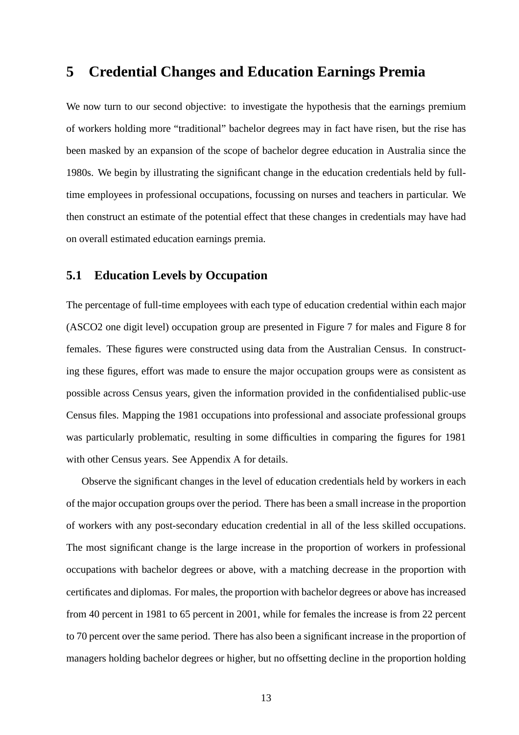### **5 Credential Changes and Education Earnings Premia**

We now turn to our second objective: to investigate the hypothesis that the earnings premium of workers holding more "traditional" bachelor degrees may in fact have risen, but the rise has been masked by an expansion of the scope of bachelor degree education in Australia since the 1980s. We begin by illustrating the significant change in the education credentials held by fulltime employees in professional occupations, focussing on nurses and teachers in particular. We then construct an estimate of the potential effect that these changes in credentials may have had on overall estimated education earnings premia.

### **5.1 Education Levels by Occupation**

The percentage of full-time employees with each type of education credential within each major (ASCO2 one digit level) occupation group are presented in Figure 7 for males and Figure 8 for females. These figures were constructed using data from the Australian Census. In constructing these figures, effort was made to ensure the major occupation groups were as consistent as possible across Census years, given the information provided in the confidentialised public-use Census files. Mapping the 1981 occupations into professional and associate professional groups was particularly problematic, resulting in some difficulties in comparing the figures for 1981 with other Census years. See Appendix A for details.

Observe the significant changes in the level of education credentials held by workers in each of the major occupation groups over the period. There has been a small increase in the proportion of workers with any post-secondary education credential in all of the less skilled occupations. The most significant change is the large increase in the proportion of workers in professional occupations with bachelor degrees or above, with a matching decrease in the proportion with certificates and diplomas. For males, the proportion with bachelor degrees or above has increased from 40 percent in 1981 to 65 percent in 2001, while for females the increase is from 22 percent to 70 percent over the same period. There has also been a significant increase in the proportion of managers holding bachelor degrees or higher, but no offsetting decline in the proportion holding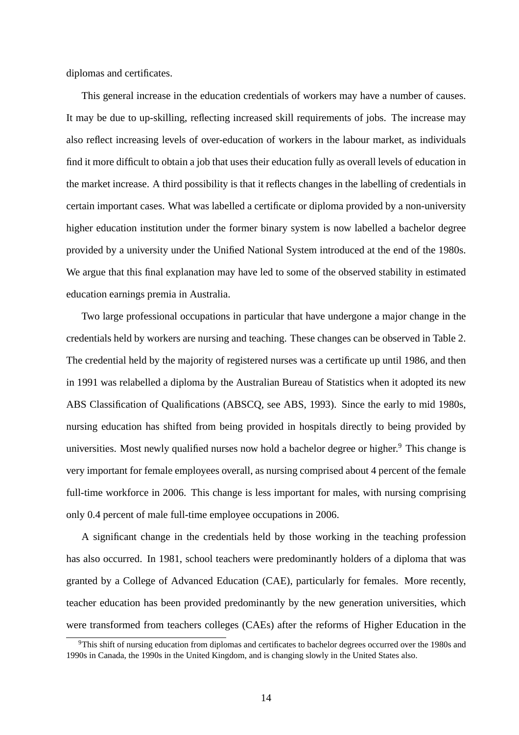diplomas and certificates.

This general increase in the education credentials of workers may have a number of causes. It may be due to up-skilling, reflecting increased skill requirements of jobs. The increase may also reflect increasing levels of over-education of workers in the labour market, as individuals find it more difficult to obtain a job that uses their education fully as overall levels of education in the market increase. A third possibility is that it reflects changes in the labelling of credentials in certain important cases. What was labelled a certificate or diploma provided by a non-university higher education institution under the former binary system is now labelled a bachelor degree provided by a university under the Unified National System introduced at the end of the 1980s. We argue that this final explanation may have led to some of the observed stability in estimated education earnings premia in Australia.

Two large professional occupations in particular that have undergone a major change in the credentials held by workers are nursing and teaching. These changes can be observed in Table 2. The credential held by the majority of registered nurses was a certificate up until 1986, and then in 1991 was relabelled a diploma by the Australian Bureau of Statistics when it adopted its new ABS Classification of Qualifications (ABSCQ, see ABS, 1993). Since the early to mid 1980s, nursing education has shifted from being provided in hospitals directly to being provided by universities. Most newly qualified nurses now hold a bachelor degree or higher.<sup>9</sup> This change is very important for female employees overall, as nursing comprised about 4 percent of the female full-time workforce in 2006. This change is less important for males, with nursing comprising only 0.4 percent of male full-time employee occupations in 2006.

A significant change in the credentials held by those working in the teaching profession has also occurred. In 1981, school teachers were predominantly holders of a diploma that was granted by a College of Advanced Education (CAE), particularly for females. More recently, teacher education has been provided predominantly by the new generation universities, which were transformed from teachers colleges (CAEs) after the reforms of Higher Education in the

<sup>&</sup>lt;sup>9</sup>This shift of nursing education from diplomas and certificates to bachelor degrees occurred over the 1980s and 1990s in Canada, the 1990s in the United Kingdom, and is changing slowly in the United States also.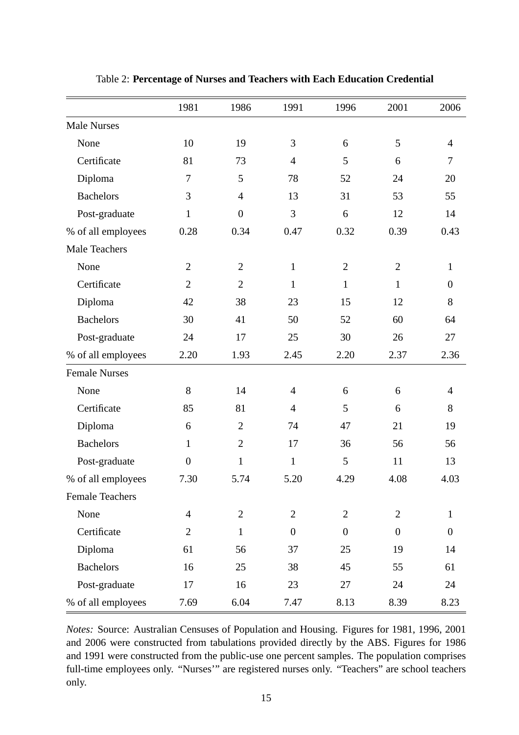|                        | 1981             | 1986             | 1991           | 1996           | 2001           | 2006             |
|------------------------|------------------|------------------|----------------|----------------|----------------|------------------|
| <b>Male Nurses</b>     |                  |                  |                |                |                |                  |
| None                   | 10               | 19               | 3              | 6              | 5              | $\overline{4}$   |
| Certificate            | 81               | 73               | $\overline{4}$ | 5              | 6              | $\overline{7}$   |
| Diploma                | $\tau$           | 5                | 78             | 52             | 24             | 20               |
| <b>Bachelors</b>       | 3                | $\overline{4}$   | 13             | 31             | 53             | 55               |
| Post-graduate          | $\mathbf{1}$     | $\boldsymbol{0}$ | 3              | 6              | 12             | 14               |
| % of all employees     | 0.28             | 0.34             | 0.47           | 0.32           | 0.39           | 0.43             |
| Male Teachers          |                  |                  |                |                |                |                  |
| None                   | $\overline{2}$   | $\overline{2}$   | $\mathbf{1}$   | $\overline{2}$ | $\overline{2}$ | $\mathbf{1}$     |
| Certificate            | $\overline{2}$   | $\overline{2}$   | $\mathbf{1}$   | $\mathbf{1}$   | $\mathbf{1}$   | $\boldsymbol{0}$ |
| Diploma                | 42               | 38               | 23             | 15             | 12             | 8                |
| <b>Bachelors</b>       | 30               | 41               | 50             | 52             | 60             | 64               |
| Post-graduate          | 24               | 17               | 25             | 30             | 26             | 27               |
| % of all employees     | 2.20             | 1.93             | 2.45           | 2.20           | 2.37           | 2.36             |
| <b>Female Nurses</b>   |                  |                  |                |                |                |                  |
| None                   | 8                | 14               | $\overline{4}$ | 6              | 6              | $\overline{4}$   |
| Certificate            | 85               | 81               | $\overline{4}$ | 5              | 6              | 8                |
| Diploma                | 6                | $\overline{2}$   | 74             | 47             | 21             | 19               |
| <b>Bachelors</b>       | $\mathbf{1}$     | $\overline{2}$   | 17             | 36             | 56             | 56               |
| Post-graduate          | $\boldsymbol{0}$ | $\mathbf{1}$     | $\mathbf{1}$   | $\mathfrak{S}$ | 11             | 13               |
| % of all employees     | 7.30             | 5.74             | 5.20           | 4.29           | 4.08           | 4.03             |
| <b>Female Teachers</b> |                  |                  |                |                |                |                  |
| None                   | $\overline{4}$   | $\overline{2}$   | $\overline{2}$ | $\mathfrak{2}$ | $\overline{2}$ | 1                |
| Certificate            | $\overline{2}$   | $\mathbf{1}$     | $\overline{0}$ | $\overline{0}$ | $\overline{0}$ | $\overline{0}$   |
| Diploma                | 61               | 56               | 37             | 25             | 19             | 14               |
| <b>Bachelors</b>       | 16               | 25               | 38             | 45             | 55             | 61               |
| Post-graduate          | 17               | 16               | 23             | 27             | 24             | 24               |
| % of all employees     | 7.69             | 6.04             | 7.47           | 8.13           | 8.39           | 8.23             |

Table 2: **Percentage of Nurses and Teachers with Each Education Credential**

*Notes:* Source: Australian Censuses of Population and Housing. Figures for 1981, 1996, 2001 and 2006 were constructed from tabulations provided directly by the ABS. Figures for 1986 and 1991 were constructed from the public-use one percent samples. The population comprises full-time employees only. "Nurses'" are registered nurses only. "Teachers" are school teachers only.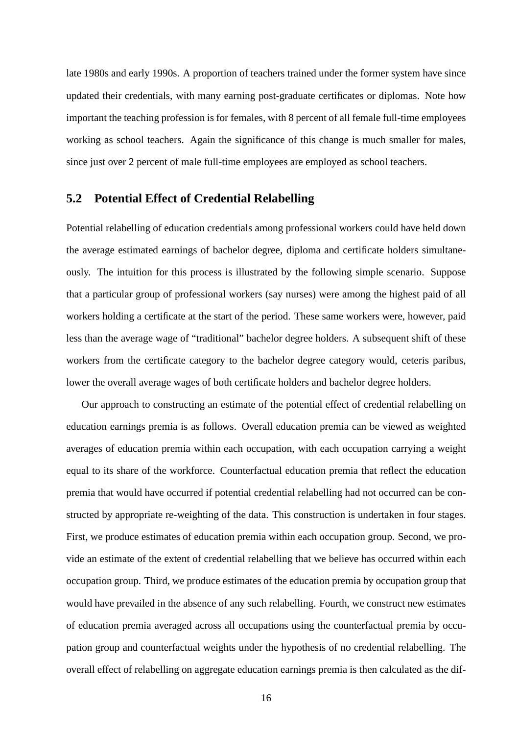late 1980s and early 1990s. A proportion of teachers trained under the former system have since updated their credentials, with many earning post-graduate certificates or diplomas. Note how important the teaching profession is for females, with 8 percent of all female full-time employees working as school teachers. Again the significance of this change is much smaller for males, since just over 2 percent of male full-time employees are employed as school teachers.

### **5.2 Potential Effect of Credential Relabelling**

Potential relabelling of education credentials among professional workers could have held down the average estimated earnings of bachelor degree, diploma and certificate holders simultaneously. The intuition for this process is illustrated by the following simple scenario. Suppose that a particular group of professional workers (say nurses) were among the highest paid of all workers holding a certificate at the start of the period. These same workers were, however, paid less than the average wage of "traditional" bachelor degree holders. A subsequent shift of these workers from the certificate category to the bachelor degree category would, ceteris paribus, lower the overall average wages of both certificate holders and bachelor degree holders.

Our approach to constructing an estimate of the potential effect of credential relabelling on education earnings premia is as follows. Overall education premia can be viewed as weighted averages of education premia within each occupation, with each occupation carrying a weight equal to its share of the workforce. Counterfactual education premia that reflect the education premia that would have occurred if potential credential relabelling had not occurred can be constructed by appropriate re-weighting of the data. This construction is undertaken in four stages. First, we produce estimates of education premia within each occupation group. Second, we provide an estimate of the extent of credential relabelling that we believe has occurred within each occupation group. Third, we produce estimates of the education premia by occupation group that would have prevailed in the absence of any such relabelling. Fourth, we construct new estimates of education premia averaged across all occupations using the counterfactual premia by occupation group and counterfactual weights under the hypothesis of no credential relabelling. The overall effect of relabelling on aggregate education earnings premia is then calculated as the dif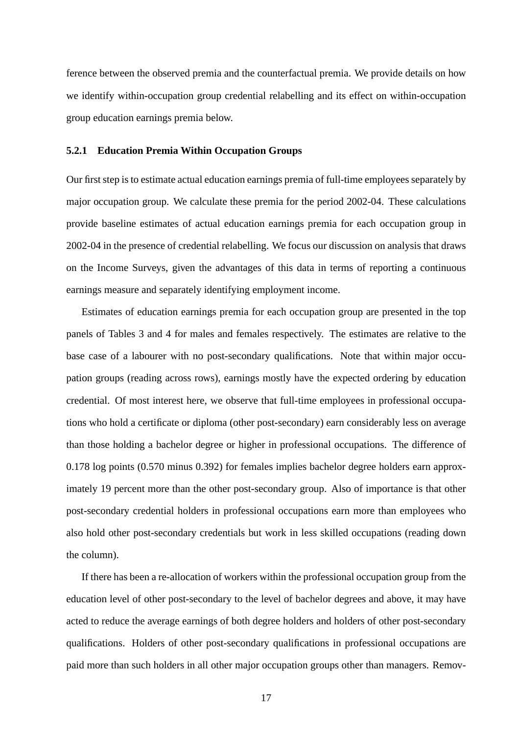ference between the observed premia and the counterfactual premia. We provide details on how we identify within-occupation group credential relabelling and its effect on within-occupation group education earnings premia below.

#### **5.2.1 Education Premia Within Occupation Groups**

Our first step is to estimate actual education earnings premia of full-time employees separately by major occupation group. We calculate these premia for the period 2002-04. These calculations provide baseline estimates of actual education earnings premia for each occupation group in 2002-04 in the presence of credential relabelling. We focus our discussion on analysis that draws on the Income Surveys, given the advantages of this data in terms of reporting a continuous earnings measure and separately identifying employment income.

Estimates of education earnings premia for each occupation group are presented in the top panels of Tables 3 and 4 for males and females respectively. The estimates are relative to the base case of a labourer with no post-secondary qualifications. Note that within major occupation groups (reading across rows), earnings mostly have the expected ordering by education credential. Of most interest here, we observe that full-time employees in professional occupations who hold a certificate or diploma (other post-secondary) earn considerably less on average than those holding a bachelor degree or higher in professional occupations. The difference of 0.178 log points (0.570 minus 0.392) for females implies bachelor degree holders earn approximately 19 percent more than the other post-secondary group. Also of importance is that other post-secondary credential holders in professional occupations earn more than employees who also hold other post-secondary credentials but work in less skilled occupations (reading down the column).

If there has been a re-allocation of workers within the professional occupation group from the education level of other post-secondary to the level of bachelor degrees and above, it may have acted to reduce the average earnings of both degree holders and holders of other post-secondary qualifications. Holders of other post-secondary qualifications in professional occupations are paid more than such holders in all other major occupation groups other than managers. Remov-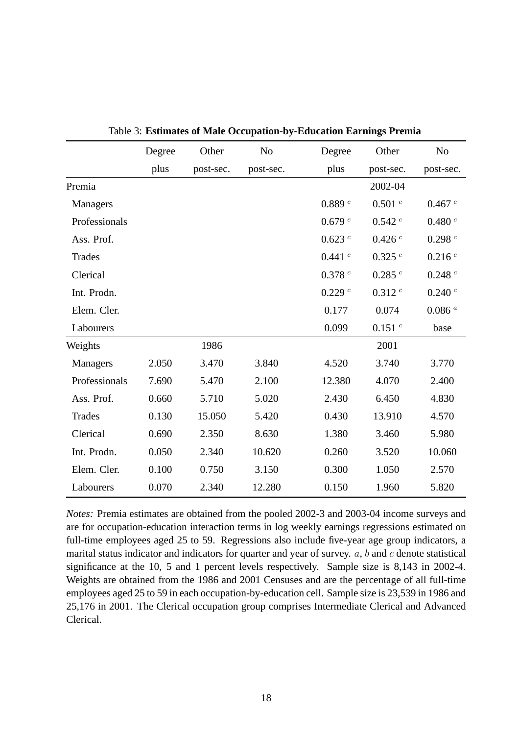|               | Degree | Other     | N <sub>o</sub> | Degree  | Other     | N <sub>o</sub> |
|---------------|--------|-----------|----------------|---------|-----------|----------------|
|               | plus   | post-sec. | post-sec.      | plus    | post-sec. | post-sec.      |
| Premia        |        |           |                |         | 2002-04   |                |
| Managers      |        |           |                | 0.889 c | 0.501 c   | 0.467 c        |
| Professionals |        |           |                | 0.679 c | 0.542c    | $0.480\ ^c$    |
| Ass. Prof.    |        |           |                | 0.623 c | 0.426 c   | 0.298 c        |
| <b>Trades</b> |        |           |                | 0.441 c | 0.325c    | 0.216 c        |
| Clerical      |        |           |                | 0.378c  | 0.285c    | 0.248 c        |
| Int. Prodn.   |        |           |                | 0.229c  | 0.312 c   | 0.240c         |
| Elem. Cler.   |        |           |                | 0.177   | 0.074     | $0.086$ $^a$   |
| Labourers     |        |           |                | 0.099   | 0.151 c   | base           |
| Weights       |        | 1986      |                |         | 2001      |                |
| Managers      | 2.050  | 3.470     | 3.840          | 4.520   | 3.740     | 3.770          |
| Professionals | 7.690  | 5.470     | 2.100          | 12.380  | 4.070     | 2.400          |
| Ass. Prof.    | 0.660  | 5.710     | 5.020          | 2.430   | 6.450     | 4.830          |
| <b>Trades</b> | 0.130  | 15.050    | 5.420          | 0.430   | 13.910    | 4.570          |
| Clerical      | 0.690  | 2.350     | 8.630          | 1.380   | 3.460     | 5.980          |
| Int. Prodn.   | 0.050  | 2.340     | 10.620         | 0.260   | 3.520     | 10.060         |
| Elem. Cler.   | 0.100  | 0.750     | 3.150          | 0.300   | 1.050     | 2.570          |
| Labourers     | 0.070  | 2.340     | 12.280         | 0.150   | 1.960     | 5.820          |

Table 3: **Estimates of Male Occupation-by-Education Earnings Premia**

*Notes:* Premia estimates are obtained from the pooled 2002-3 and 2003-04 income surveys and are for occupation-education interaction terms in log weekly earnings regressions estimated on full-time employees aged 25 to 59. Regressions also include five-year age group indicators, a marital status indicator and indicators for quarter and year of survey.  $a$ ,  $b$  and  $c$  denote statistical significance at the 10, 5 and 1 percent levels respectively. Sample size is 8,143 in 2002-4. Weights are obtained from the 1986 and 2001 Censuses and are the percentage of all full-time employees aged 25 to 59 in each occupation-by-education cell. Sample size is 23,539 in 1986 and 25,176 in 2001. The Clerical occupation group comprises Intermediate Clerical and Advanced Clerical.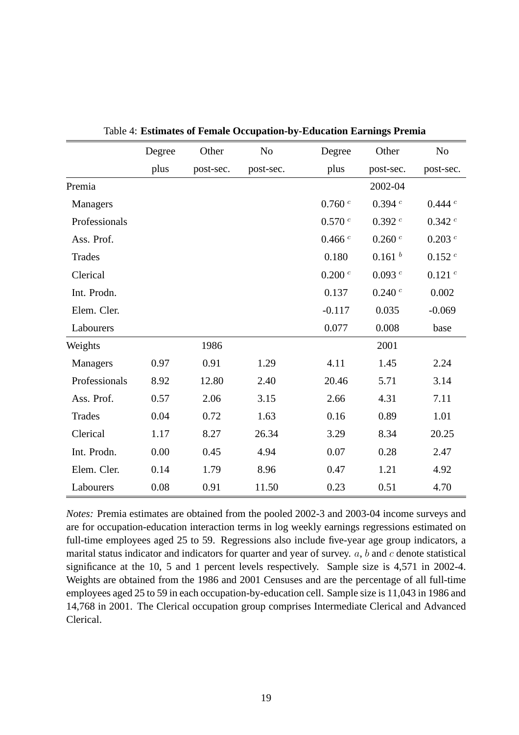|               | Degree | Other     | N <sub>o</sub> | Degree      | Other              | N <sub>o</sub>       |
|---------------|--------|-----------|----------------|-------------|--------------------|----------------------|
|               | plus   | post-sec. | post-sec.      | plus        | post-sec.          | post-sec.            |
| Premia        |        |           |                |             | 2002-04            |                      |
| Managers      |        |           |                | $0.760\ ^c$ | 0.394 c            | 0.444c               |
| Professionals |        |           |                | $0.570\ ^c$ | $0.392\ ^c$        | 0.342 c              |
| Ass. Prof.    |        |           |                | 0.466c      | 0.260c             | $0.203$ <sup>c</sup> |
| <b>Trades</b> |        |           |                | 0.180       | 0.161 <sup>b</sup> | 0.152c               |
| Clerical      |        |           |                | $0.200\ ^c$ | 0.093c             | 0.121 c              |
| Int. Prodn.   |        |           |                | 0.137       | 0.240 c            | 0.002                |
| Elem. Cler.   |        |           |                | $-0.117$    | 0.035              | $-0.069$             |
| Labourers     |        |           |                | 0.077       | 0.008              | base                 |
| Weights       |        | 1986      |                |             | 2001               |                      |
| Managers      | 0.97   | 0.91      | 1.29           | 4.11        | 1.45               | 2.24                 |
| Professionals | 8.92   | 12.80     | 2.40           | 20.46       | 5.71               | 3.14                 |
| Ass. Prof.    | 0.57   | 2.06      | 3.15           | 2.66        | 4.31               | 7.11                 |
| <b>Trades</b> | 0.04   | 0.72      | 1.63           | 0.16        | 0.89               | 1.01                 |
| Clerical      | 1.17   | 8.27      | 26.34          | 3.29        | 8.34               | 20.25                |
| Int. Prodn.   | 0.00   | 0.45      | 4.94           | 0.07        | 0.28               | 2.47                 |
| Elem. Cler.   | 0.14   | 1.79      | 8.96           | 0.47        | 1.21               | 4.92                 |
| Labourers     | 0.08   | 0.91      | 11.50          | 0.23        | 0.51               | 4.70                 |

|  |  | Table 4: Estimates of Female Occupation-by-Education Earnings Premia |  |
|--|--|----------------------------------------------------------------------|--|
|  |  |                                                                      |  |

*Notes:* Premia estimates are obtained from the pooled 2002-3 and 2003-04 income surveys and are for occupation-education interaction terms in log weekly earnings regressions estimated on full-time employees aged 25 to 59. Regressions also include five-year age group indicators, a marital status indicator and indicators for quarter and year of survey.  $a$ ,  $b$  and  $c$  denote statistical significance at the 10, 5 and 1 percent levels respectively. Sample size is 4,571 in 2002-4. Weights are obtained from the 1986 and 2001 Censuses and are the percentage of all full-time employees aged 25 to 59 in each occupation-by-education cell. Sample size is 11,043 in 1986 and 14,768 in 2001. The Clerical occupation group comprises Intermediate Clerical and Advanced Clerical.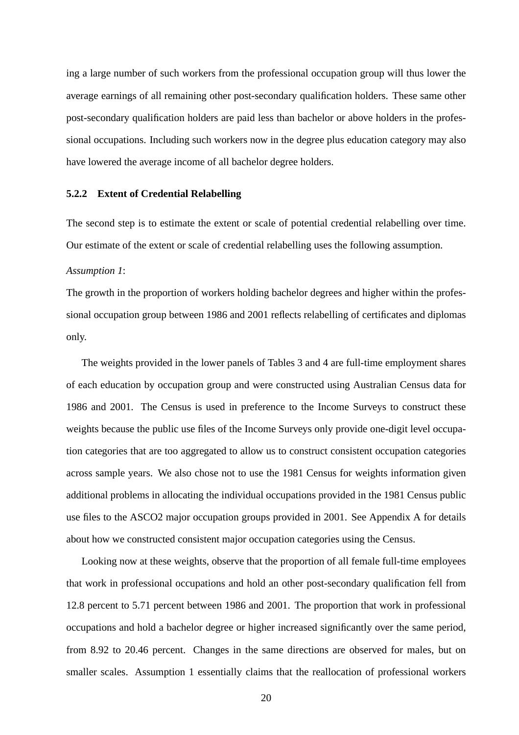ing a large number of such workers from the professional occupation group will thus lower the average earnings of all remaining other post-secondary qualification holders. These same other post-secondary qualification holders are paid less than bachelor or above holders in the professional occupations. Including such workers now in the degree plus education category may also have lowered the average income of all bachelor degree holders.

#### **5.2.2 Extent of Credential Relabelling**

The second step is to estimate the extent or scale of potential credential relabelling over time. Our estimate of the extent or scale of credential relabelling uses the following assumption.

#### *Assumption 1*:

The growth in the proportion of workers holding bachelor degrees and higher within the professional occupation group between 1986 and 2001 reflects relabelling of certificates and diplomas only.

The weights provided in the lower panels of Tables 3 and 4 are full-time employment shares of each education by occupation group and were constructed using Australian Census data for 1986 and 2001. The Census is used in preference to the Income Surveys to construct these weights because the public use files of the Income Surveys only provide one-digit level occupation categories that are too aggregated to allow us to construct consistent occupation categories across sample years. We also chose not to use the 1981 Census for weights information given additional problems in allocating the individual occupations provided in the 1981 Census public use files to the ASCO2 major occupation groups provided in 2001. See Appendix A for details about how we constructed consistent major occupation categories using the Census.

Looking now at these weights, observe that the proportion of all female full-time employees that work in professional occupations and hold an other post-secondary qualification fell from 12.8 percent to 5.71 percent between 1986 and 2001. The proportion that work in professional occupations and hold a bachelor degree or higher increased significantly over the same period, from 8.92 to 20.46 percent. Changes in the same directions are observed for males, but on smaller scales. Assumption 1 essentially claims that the reallocation of professional workers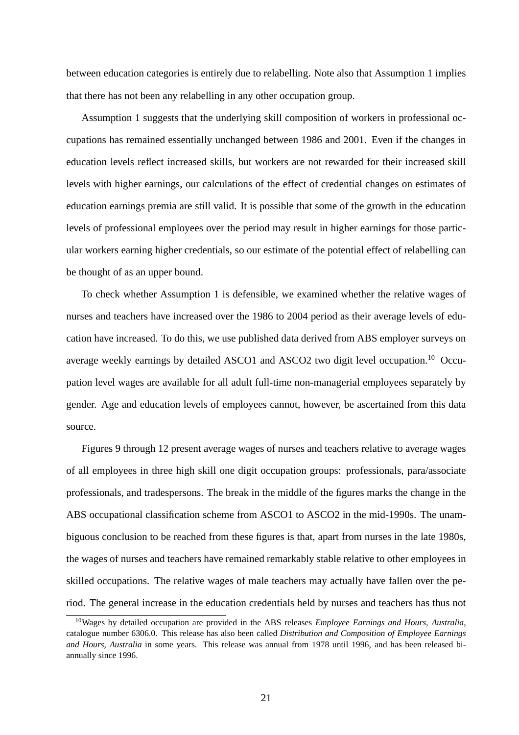between education categories is entirely due to relabelling. Note also that Assumption 1 implies that there has not been any relabelling in any other occupation group.

Assumption 1 suggests that the underlying skill composition of workers in professional occupations has remained essentially unchanged between 1986 and 2001. Even if the changes in education levels reflect increased skills, but workers are not rewarded for their increased skill levels with higher earnings, our calculations of the effect of credential changes on estimates of education earnings premia are still valid. It is possible that some of the growth in the education levels of professional employees over the period may result in higher earnings for those particular workers earning higher credentials, so our estimate of the potential effect of relabelling can be thought of as an upper bound.

To check whether Assumption 1 is defensible, we examined whether the relative wages of nurses and teachers have increased over the 1986 to 2004 period as their average levels of education have increased. To do this, we use published data derived from ABS employer surveys on average weekly earnings by detailed ASCO1 and ASCO2 two digit level occupation.<sup>10</sup> Occupation level wages are available for all adult full-time non-managerial employees separately by gender. Age and education levels of employees cannot, however, be ascertained from this data source.

Figures 9 through 12 present average wages of nurses and teachers relative to average wages of all employees in three high skill one digit occupation groups: professionals, para/associate professionals, and tradespersons. The break in the middle of the figures marks the change in the ABS occupational classification scheme from ASCO1 to ASCO2 in the mid-1990s. The unambiguous conclusion to be reached from these figures is that, apart from nurses in the late 1980s, the wages of nurses and teachers have remained remarkably stable relative to other employees in skilled occupations. The relative wages of male teachers may actually have fallen over the period. The general increase in the education credentials held by nurses and teachers has thus not

<sup>10</sup>Wages by detailed occupation are provided in the ABS releases *Employee Earnings and Hours, Australia*, catalogue number 6306.0. This release has also been called *Distribution and Composition of Employee Earnings and Hours, Australia* in some years. This release was annual from 1978 until 1996, and has been released biannually since 1996.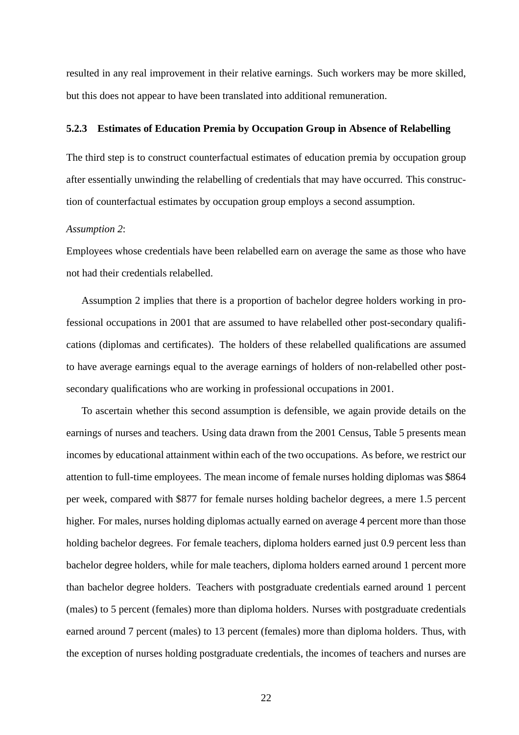resulted in any real improvement in their relative earnings. Such workers may be more skilled, but this does not appear to have been translated into additional remuneration.

### **5.2.3 Estimates of Education Premia by Occupation Group in Absence of Relabelling**

The third step is to construct counterfactual estimates of education premia by occupation group after essentially unwinding the relabelling of credentials that may have occurred. This construction of counterfactual estimates by occupation group employs a second assumption.

#### *Assumption 2*:

Employees whose credentials have been relabelled earn on average the same as those who have not had their credentials relabelled.

Assumption 2 implies that there is a proportion of bachelor degree holders working in professional occupations in 2001 that are assumed to have relabelled other post-secondary qualifications (diplomas and certificates). The holders of these relabelled qualifications are assumed to have average earnings equal to the average earnings of holders of non-relabelled other postsecondary qualifications who are working in professional occupations in 2001.

To ascertain whether this second assumption is defensible, we again provide details on the earnings of nurses and teachers. Using data drawn from the 2001 Census, Table 5 presents mean incomes by educational attainment within each of the two occupations. As before, we restrict our attention to full-time employees. The mean income of female nurses holding diplomas was \$864 per week, compared with \$877 for female nurses holding bachelor degrees, a mere 1.5 percent higher. For males, nurses holding diplomas actually earned on average 4 percent more than those holding bachelor degrees. For female teachers, diploma holders earned just 0.9 percent less than bachelor degree holders, while for male teachers, diploma holders earned around 1 percent more than bachelor degree holders. Teachers with postgraduate credentials earned around 1 percent (males) to 5 percent (females) more than diploma holders. Nurses with postgraduate credentials earned around 7 percent (males) to 13 percent (females) more than diploma holders. Thus, with the exception of nurses holding postgraduate credentials, the incomes of teachers and nurses are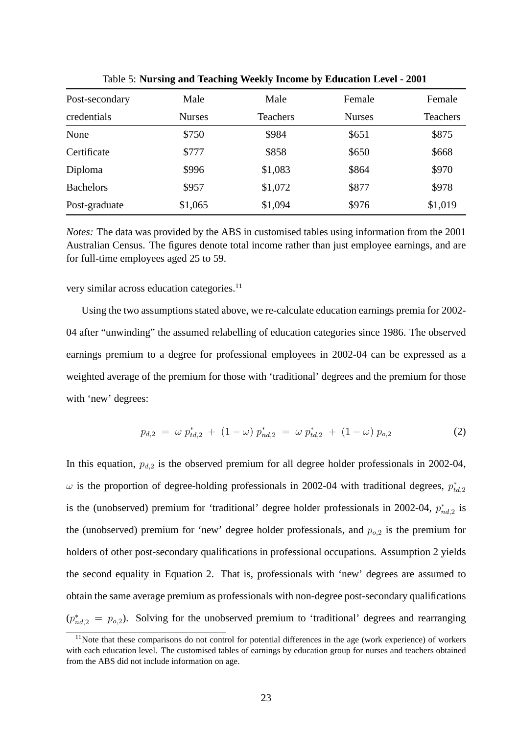| Post-secondary   | Male          | Male            | Female        | Female          |
|------------------|---------------|-----------------|---------------|-----------------|
| credentials      | <b>Nurses</b> | <b>Teachers</b> | <b>Nurses</b> | <b>Teachers</b> |
| None             | \$750         | \$984           | \$651         | \$875           |
| Certificate      | \$777         | \$858           | \$650         | \$668           |
| Diploma          | \$996         | \$1,083         | \$864         | \$970           |
| <b>Bachelors</b> | \$957         | \$1,072         | \$877         | \$978           |
| Post-graduate    | \$1,065       | \$1,094         | \$976         | \$1,019         |

Table 5: **Nursing and Teaching Weekly Income by Education Level - 2001**

*Notes:* The data was provided by the ABS in customised tables using information from the 2001 Australian Census. The figures denote total income rather than just employee earnings, and are for full-time employees aged 25 to 59.

very similar across education categories.<sup>11</sup>

Using the two assumptions stated above, we re-calculate education earnings premia for 2002- 04 after "unwinding" the assumed relabelling of education categories since 1986. The observed earnings premium to a degree for professional employees in 2002-04 can be expressed as a weighted average of the premium for those with 'traditional' degrees and the premium for those with 'new' degrees:

$$
p_{d,2} = \omega p_{td,2}^* + (1 - \omega) p_{nd,2}^* = \omega p_{td,2}^* + (1 - \omega) p_{o,2}
$$
 (2)

In this equation,  $p_{d,2}$  is the observed premium for all degree holder professionals in 2002-04,  $\omega$  is the proportion of degree-holding professionals in 2002-04 with traditional degrees,  $p_{td,2}^*$ is the (unobserved) premium for 'traditional' degree holder professionals in 2002-04,  $p_{nd,2}^*$  is the (unobserved) premium for 'new' degree holder professionals, and  $p_{o,2}$  is the premium for holders of other post-secondary qualifications in professional occupations. Assumption 2 yields the second equality in Equation 2. That is, professionals with 'new' degrees are assumed to obtain the same average premium as professionals with non-degree post-secondary qualifications  $(p_{nd,2}^* = p_{o,2})$ . Solving for the unobserved premium to 'traditional' degrees and rearranging

<sup>&</sup>lt;sup>11</sup>Note that these comparisons do not control for potential differences in the age (work experience) of workers with each education level. The customised tables of earnings by education group for nurses and teachers obtained from the ABS did not include information on age.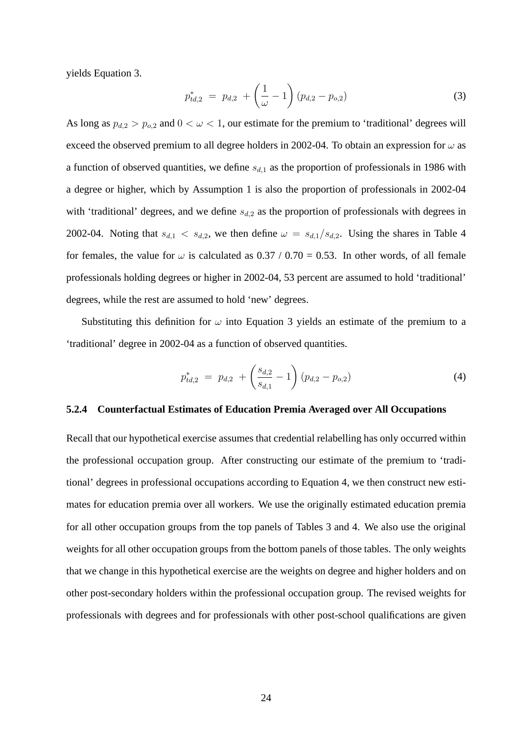yields Equation 3.

$$
p_{td,2}^* = p_{d,2} + \left(\frac{1}{\omega} - 1\right) (p_{d,2} - p_{o,2}) \tag{3}
$$

As long as  $p_{d,2} > p_{o,2}$  and  $0 < \omega < 1$ , our estimate for the premium to 'traditional' degrees will exceed the observed premium to all degree holders in 2002-04. To obtain an expression for  $\omega$  as a function of observed quantities, we define  $s_{d,1}$  as the proportion of professionals in 1986 with a degree or higher, which by Assumption 1 is also the proportion of professionals in 2002-04 with 'traditional' degrees, and we define  $s_{d,2}$  as the proportion of professionals with degrees in 2002-04. Noting that  $s_{d,1} < s_{d,2}$ , we then define  $\omega = s_{d,1}/s_{d,2}$ . Using the shares in Table 4 for females, the value for  $\omega$  is calculated as 0.37 / 0.70 = 0.53. In other words, of all female professionals holding degrees or higher in 2002-04, 53 percent are assumed to hold 'traditional' degrees, while the rest are assumed to hold 'new' degrees.

Substituting this definition for  $\omega$  into Equation 3 yields an estimate of the premium to a 'traditional' degree in 2002-04 as a function of observed quantities.

$$
p_{td,2}^* = p_{d,2} + \left(\frac{s_{d,2}}{s_{d,1}} - 1\right) (p_{d,2} - p_{o,2}) \tag{4}
$$

#### **5.2.4 Counterfactual Estimates of Education Premia Averaged over All Occupations**

Recall that our hypothetical exercise assumes that credential relabelling has only occurred within the professional occupation group. After constructing our estimate of the premium to 'traditional' degrees in professional occupations according to Equation 4, we then construct new estimates for education premia over all workers. We use the originally estimated education premia for all other occupation groups from the top panels of Tables 3 and 4. We also use the original weights for all other occupation groups from the bottom panels of those tables. The only weights that we change in this hypothetical exercise are the weights on degree and higher holders and on other post-secondary holders within the professional occupation group. The revised weights for professionals with degrees and for professionals with other post-school qualifications are given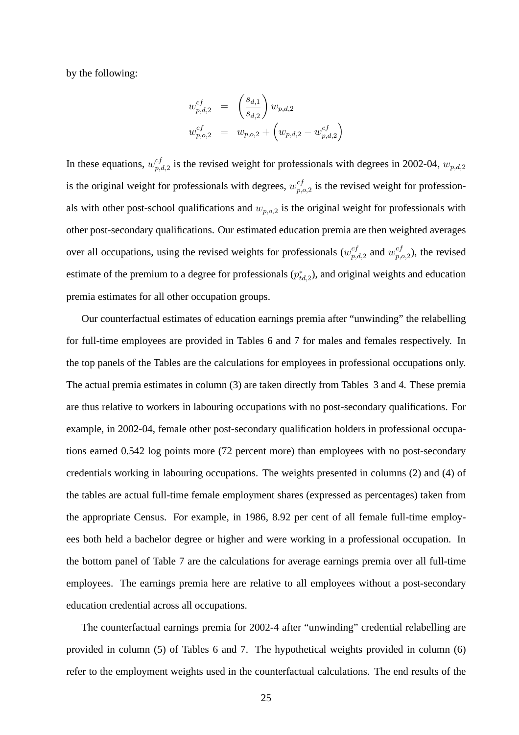by the following:

$$
w_{p,d,2}^{cf} = \left(\frac{s_{d,1}}{s_{d,2}}\right) w_{p,d,2}
$$
  

$$
w_{p,o,2}^{cf} = w_{p,o,2} + \left(w_{p,d,2} - w_{p,d,2}^{cf}\right)
$$

In these equations,  $w_{n,d}^{cf}$  ${}_{p,d,2}^{cf}$  is the revised weight for professionals with degrees in 2002-04,  $w_{p,d,2}$ is the original weight for professionals with degrees,  $w_{n,d}^{cf}$  $_{p,o,2}^{cf}$  is the revised weight for professionals with other post-school qualifications and  $w_{p,o,2}$  is the original weight for professionals with other post-secondary qualifications. Our estimated education premia are then weighted averages over all occupations, using the revised weights for professionals  $(w_n^{cf})$  $_{p,d,2}^{cf}$  and  $w_{p,q}^{cf}$  $_{p,o,2}^{cf}$ ), the revised estimate of the premium to a degree for professionals  $(p_{td,2}^*)$ , and original weights and education premia estimates for all other occupation groups.

Our counterfactual estimates of education earnings premia after "unwinding" the relabelling for full-time employees are provided in Tables 6 and 7 for males and females respectively. In the top panels of the Tables are the calculations for employees in professional occupations only. The actual premia estimates in column (3) are taken directly from Tables 3 and 4. These premia are thus relative to workers in labouring occupations with no post-secondary qualifications. For example, in 2002-04, female other post-secondary qualification holders in professional occupations earned 0.542 log points more (72 percent more) than employees with no post-secondary credentials working in labouring occupations. The weights presented in columns (2) and (4) of the tables are actual full-time female employment shares (expressed as percentages) taken from the appropriate Census. For example, in 1986, 8.92 per cent of all female full-time employees both held a bachelor degree or higher and were working in a professional occupation. In the bottom panel of Table 7 are the calculations for average earnings premia over all full-time employees. The earnings premia here are relative to all employees without a post-secondary education credential across all occupations.

The counterfactual earnings premia for 2002-4 after "unwinding" credential relabelling are provided in column (5) of Tables 6 and 7. The hypothetical weights provided in column (6) refer to the employment weights used in the counterfactual calculations. The end results of the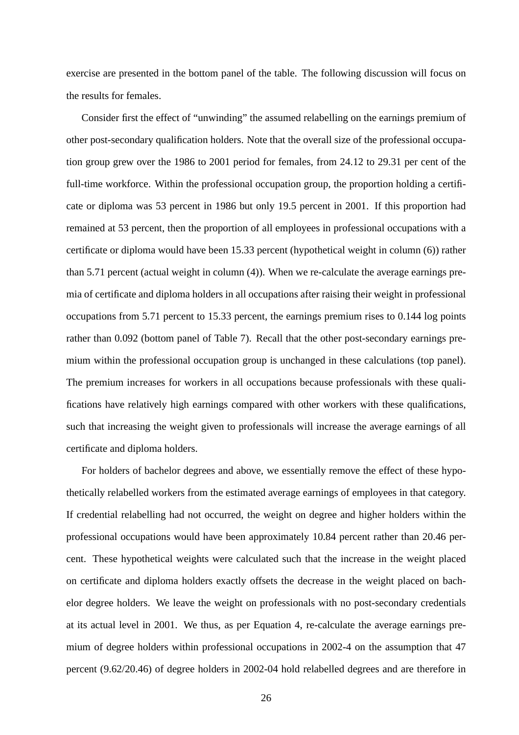exercise are presented in the bottom panel of the table. The following discussion will focus on the results for females.

Consider first the effect of "unwinding" the assumed relabelling on the earnings premium of other post-secondary qualification holders. Note that the overall size of the professional occupation group grew over the 1986 to 2001 period for females, from 24.12 to 29.31 per cent of the full-time workforce. Within the professional occupation group, the proportion holding a certificate or diploma was 53 percent in 1986 but only 19.5 percent in 2001. If this proportion had remained at 53 percent, then the proportion of all employees in professional occupations with a certificate or diploma would have been 15.33 percent (hypothetical weight in column (6)) rather than 5.71 percent (actual weight in column (4)). When we re-calculate the average earnings premia of certificate and diploma holders in all occupations after raising their weight in professional occupations from 5.71 percent to 15.33 percent, the earnings premium rises to 0.144 log points rather than 0.092 (bottom panel of Table 7). Recall that the other post-secondary earnings premium within the professional occupation group is unchanged in these calculations (top panel). The premium increases for workers in all occupations because professionals with these qualifications have relatively high earnings compared with other workers with these qualifications, such that increasing the weight given to professionals will increase the average earnings of all certificate and diploma holders.

For holders of bachelor degrees and above, we essentially remove the effect of these hypothetically relabelled workers from the estimated average earnings of employees in that category. If credential relabelling had not occurred, the weight on degree and higher holders within the professional occupations would have been approximately 10.84 percent rather than 20.46 percent. These hypothetical weights were calculated such that the increase in the weight placed on certificate and diploma holders exactly offsets the decrease in the weight placed on bachelor degree holders. We leave the weight on professionals with no post-secondary credentials at its actual level in 2001. We thus, as per Equation 4, re-calculate the average earnings premium of degree holders within professional occupations in 2002-4 on the assumption that 47 percent (9.62/20.46) of degree holders in 2002-04 hold relabelled degrees and are therefore in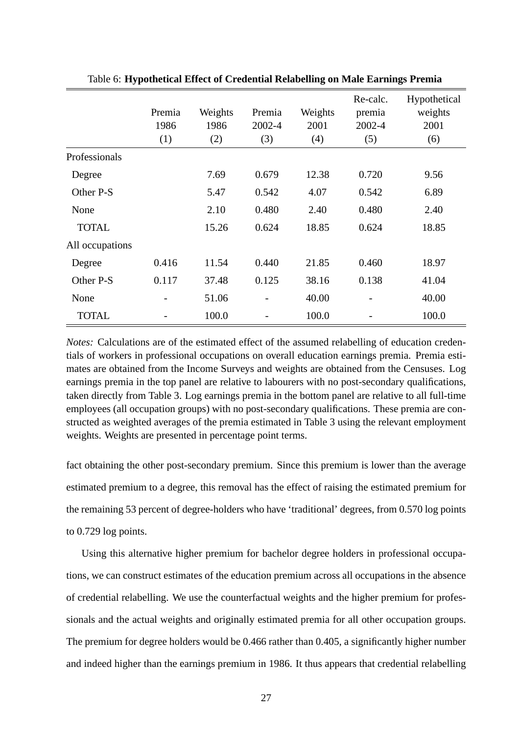|                 | Premia<br>1986<br>(1) | Weights<br>1986<br>(2) | Premia<br>2002-4<br>(3) | Weights<br>2001<br>(4) | Re-calc.<br>premia<br>2002-4<br>(5) | Hypothetical<br>weights<br>2001<br>(6) |
|-----------------|-----------------------|------------------------|-------------------------|------------------------|-------------------------------------|----------------------------------------|
| Professionals   |                       |                        |                         |                        |                                     |                                        |
| Degree          |                       | 7.69                   | 0.679                   | 12.38                  | 0.720                               | 9.56                                   |
| Other P-S       |                       | 5.47                   | 0.542                   | 4.07                   | 0.542                               | 6.89                                   |
| None            |                       | 2.10                   | 0.480                   | 2.40                   | 0.480                               | 2.40                                   |
| <b>TOTAL</b>    |                       | 15.26                  | 0.624                   | 18.85                  | 0.624                               | 18.85                                  |
| All occupations |                       |                        |                         |                        |                                     |                                        |
| Degree          | 0.416                 | 11.54                  | 0.440                   | 21.85                  | 0.460                               | 18.97                                  |
| Other P-S       | 0.117                 | 37.48                  | 0.125                   | 38.16                  | 0.138                               | 41.04                                  |
| None            |                       | 51.06                  |                         | 40.00                  |                                     | 40.00                                  |
| <b>TOTAL</b>    |                       | 100.0                  |                         | 100.0                  |                                     | 100.0                                  |

Table 6: **Hypothetical Effect of Credential Relabelling on Male Earnings Premia**

*Notes:* Calculations are of the estimated effect of the assumed relabelling of education credentials of workers in professional occupations on overall education earnings premia. Premia estimates are obtained from the Income Surveys and weights are obtained from the Censuses. Log earnings premia in the top panel are relative to labourers with no post-secondary qualifications, taken directly from Table 3. Log earnings premia in the bottom panel are relative to all full-time employees (all occupation groups) with no post-secondary qualifications. These premia are constructed as weighted averages of the premia estimated in Table 3 using the relevant employment weights. Weights are presented in percentage point terms.

fact obtaining the other post-secondary premium. Since this premium is lower than the average estimated premium to a degree, this removal has the effect of raising the estimated premium for the remaining 53 percent of degree-holders who have 'traditional' degrees, from 0.570 log points to 0.729 log points.

Using this alternative higher premium for bachelor degree holders in professional occupations, we can construct estimates of the education premium across all occupations in the absence of credential relabelling. We use the counterfactual weights and the higher premium for professionals and the actual weights and originally estimated premia for all other occupation groups. The premium for degree holders would be 0.466 rather than 0.405, a significantly higher number and indeed higher than the earnings premium in 1986. It thus appears that credential relabelling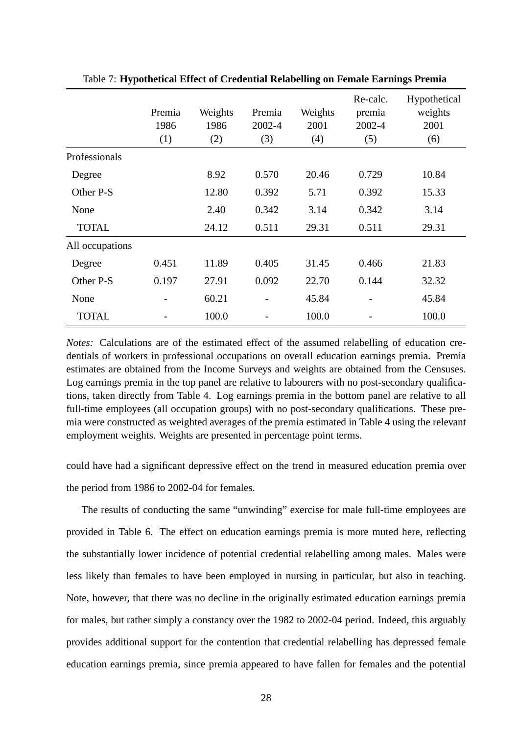|                 | Premia<br>1986<br>(1) | Weights<br>1986<br>(2) | Premia<br>2002-4<br>(3) | Weights<br>2001<br>(4) | Re-calc.<br>premia<br>2002-4<br>(5) | Hypothetical<br>weights<br>2001<br>(6) |
|-----------------|-----------------------|------------------------|-------------------------|------------------------|-------------------------------------|----------------------------------------|
| Professionals   |                       |                        |                         |                        |                                     |                                        |
| Degree          |                       | 8.92                   | 0.570                   | 20.46                  | 0.729                               | 10.84                                  |
| Other P-S       |                       | 12.80                  | 0.392                   | 5.71                   | 0.392                               | 15.33                                  |
| None            |                       | 2.40                   | 0.342                   | 3.14                   | 0.342                               | 3.14                                   |
| <b>TOTAL</b>    |                       | 24.12                  | 0.511                   | 29.31                  | 0.511                               | 29.31                                  |
| All occupations |                       |                        |                         |                        |                                     |                                        |
| Degree          | 0.451                 | 11.89                  | 0.405                   | 31.45                  | 0.466                               | 21.83                                  |
| Other P-S       | 0.197                 | 27.91                  | 0.092                   | 22.70                  | 0.144                               | 32.32                                  |
| None            |                       | 60.21                  |                         | 45.84                  |                                     | 45.84                                  |
| <b>TOTAL</b>    |                       | 100.0                  |                         | 100.0                  |                                     | 100.0                                  |

Table 7: **Hypothetical Effect of Credential Relabelling on Female Earnings Premia**

*Notes:* Calculations are of the estimated effect of the assumed relabelling of education credentials of workers in professional occupations on overall education earnings premia. Premia estimates are obtained from the Income Surveys and weights are obtained from the Censuses. Log earnings premia in the top panel are relative to labourers with no post-secondary qualifications, taken directly from Table 4. Log earnings premia in the bottom panel are relative to all full-time employees (all occupation groups) with no post-secondary qualifications. These premia were constructed as weighted averages of the premia estimated in Table 4 using the relevant employment weights. Weights are presented in percentage point terms.

could have had a significant depressive effect on the trend in measured education premia over the period from 1986 to 2002-04 for females.

The results of conducting the same "unwinding" exercise for male full-time employees are provided in Table 6. The effect on education earnings premia is more muted here, reflecting the substantially lower incidence of potential credential relabelling among males. Males were less likely than females to have been employed in nursing in particular, but also in teaching. Note, however, that there was no decline in the originally estimated education earnings premia for males, but rather simply a constancy over the 1982 to 2002-04 period. Indeed, this arguably provides additional support for the contention that credential relabelling has depressed female education earnings premia, since premia appeared to have fallen for females and the potential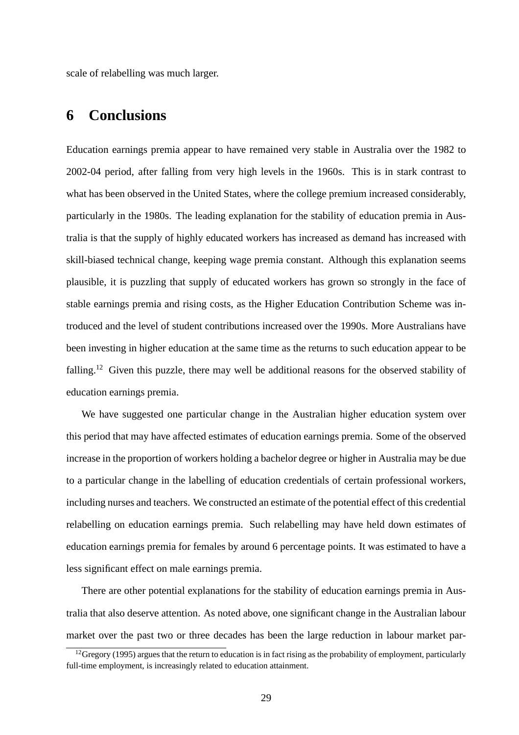scale of relabelling was much larger.

# **6 Conclusions**

Education earnings premia appear to have remained very stable in Australia over the 1982 to 2002-04 period, after falling from very high levels in the 1960s. This is in stark contrast to what has been observed in the United States, where the college premium increased considerably, particularly in the 1980s. The leading explanation for the stability of education premia in Australia is that the supply of highly educated workers has increased as demand has increased with skill-biased technical change, keeping wage premia constant. Although this explanation seems plausible, it is puzzling that supply of educated workers has grown so strongly in the face of stable earnings premia and rising costs, as the Higher Education Contribution Scheme was introduced and the level of student contributions increased over the 1990s. More Australians have been investing in higher education at the same time as the returns to such education appear to be falling.<sup>12</sup> Given this puzzle, there may well be additional reasons for the observed stability of education earnings premia.

We have suggested one particular change in the Australian higher education system over this period that may have affected estimates of education earnings premia. Some of the observed increase in the proportion of workers holding a bachelor degree or higher in Australia may be due to a particular change in the labelling of education credentials of certain professional workers, including nurses and teachers. We constructed an estimate of the potential effect of this credential relabelling on education earnings premia. Such relabelling may have held down estimates of education earnings premia for females by around 6 percentage points. It was estimated to have a less significant effect on male earnings premia.

There are other potential explanations for the stability of education earnings premia in Australia that also deserve attention. As noted above, one significant change in the Australian labour market over the past two or three decades has been the large reduction in labour market par-

<sup>&</sup>lt;sup>12</sup>Gregory (1995) argues that the return to education is in fact rising as the probability of employment, particularly full-time employment, is increasingly related to education attainment.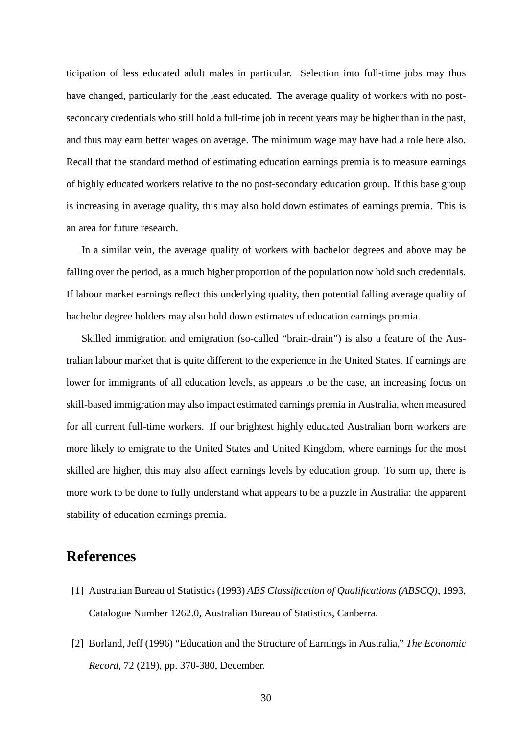ticipation of less educated adult males in particular. Selection into full-time jobs may thus have changed, particularly for the least educated. The average quality of workers with no postsecondary credentials who still hold a full-time job in recent years may be higher than in the past, and thus may earn better wages on average. The minimum wage may have had a role here also. Recall that the standard method of estimating education earnings premia is to measure earnings of highly educated workers relative to the no post-secondary education group. If this base group is increasing in average quality, this may also hold down estimates of earnings premia. This is an area for future research.

In a similar vein, the average quality of workers with bachelor degrees and above may be falling over the period, as a much higher proportion of the population now hold such credentials. If labour market earnings reflect this underlying quality, then potential falling average quality of bachelor degree holders may also hold down estimates of education earnings premia.

Skilled immigration and emigration (so-called "brain-drain") is also a feature of the Australian labour market that is quite different to the experience in the United States. If earnings are lower for immigrants of all education levels, as appears to be the case, an increasing focus on skill-based immigration may also impact estimated earnings premia in Australia, when measured for all current full-time workers. If our brightest highly educated Australian born workers are more likely to emigrate to the United States and United Kingdom, where earnings for the most skilled are higher, this may also affect earnings levels by education group. To sum up, there is more work to be done to fully understand what appears to be a puzzle in Australia: the apparent stability of education earnings premia.

# **References**

- [1] Australian Bureau of Statistics (1993) *ABS Classification of Qualifications (ABSCQ)*, 1993, Catalogue Number 1262.0, Australian Bureau of Statistics, Canberra.
- [2] Borland, Jeff (1996) "Education and the Structure of Earnings in Australia," *The Economic Record*, 72 (219), pp. 370-380, December.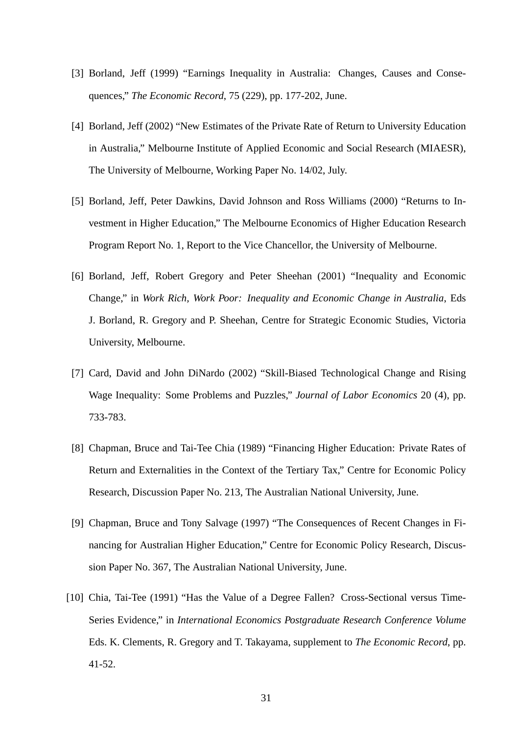- [3] Borland, Jeff (1999) "Earnings Inequality in Australia: Changes, Causes and Consequences," *The Economic Record*, 75 (229), pp. 177-202, June.
- [4] Borland, Jeff (2002) "New Estimates of the Private Rate of Return to University Education in Australia," Melbourne Institute of Applied Economic and Social Research (MIAESR), The University of Melbourne, Working Paper No. 14/02, July.
- [5] Borland, Jeff, Peter Dawkins, David Johnson and Ross Williams (2000) "Returns to Investment in Higher Education," The Melbourne Economics of Higher Education Research Program Report No. 1, Report to the Vice Chancellor, the University of Melbourne.
- [6] Borland, Jeff, Robert Gregory and Peter Sheehan (2001) "Inequality and Economic Change," in *Work Rich, Work Poor: Inequality and Economic Change in Australia*, Eds J. Borland, R. Gregory and P. Sheehan, Centre for Strategic Economic Studies, Victoria University, Melbourne.
- [7] Card, David and John DiNardo (2002) "Skill-Biased Technological Change and Rising Wage Inequality: Some Problems and Puzzles," *Journal of Labor Economics* 20 (4), pp. 733-783.
- [8] Chapman, Bruce and Tai-Tee Chia (1989) "Financing Higher Education: Private Rates of Return and Externalities in the Context of the Tertiary Tax," Centre for Economic Policy Research, Discussion Paper No. 213, The Australian National University, June.
- [9] Chapman, Bruce and Tony Salvage (1997) "The Consequences of Recent Changes in Financing for Australian Higher Education," Centre for Economic Policy Research, Discussion Paper No. 367, The Australian National University, June.
- [10] Chia, Tai-Tee (1991) "Has the Value of a Degree Fallen? Cross-Sectional versus Time-Series Evidence," in *International Economics Postgraduate Research Conference Volume* Eds. K. Clements, R. Gregory and T. Takayama, supplement to *The Economic Record*, pp. 41-52.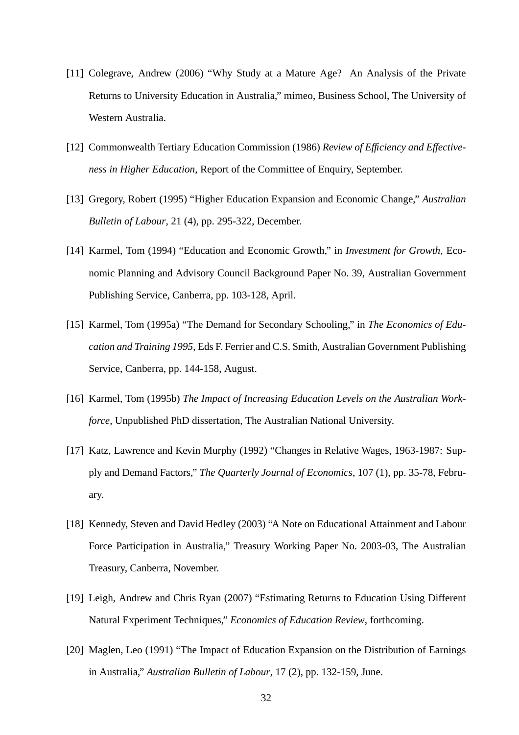- [11] Colegrave, Andrew (2006) "Why Study at a Mature Age? An Analysis of the Private Returns to University Education in Australia," mimeo, Business School, The University of Western Australia.
- [12] Commonwealth Tertiary Education Commission (1986) *Review of Efficiency and Effectiveness in Higher Education*, Report of the Committee of Enquiry, September.
- [13] Gregory, Robert (1995) "Higher Education Expansion and Economic Change," *Australian Bulletin of Labour*, 21 (4), pp. 295-322, December.
- [14] Karmel, Tom (1994) "Education and Economic Growth," in *Investment for Growth*, Economic Planning and Advisory Council Background Paper No. 39, Australian Government Publishing Service, Canberra, pp. 103-128, April.
- [15] Karmel, Tom (1995a) "The Demand for Secondary Schooling," in *The Economics of Education and Training 1995*, Eds F. Ferrier and C.S. Smith, Australian Government Publishing Service, Canberra, pp. 144-158, August.
- [16] Karmel, Tom (1995b) *The Impact of Increasing Education Levels on the Australian Workforce*, Unpublished PhD dissertation, The Australian National University.
- [17] Katz, Lawrence and Kevin Murphy (1992) "Changes in Relative Wages, 1963-1987: Supply and Demand Factors," *The Quarterly Journal of Economics*, 107 (1), pp. 35-78, February.
- [18] Kennedy, Steven and David Hedley (2003) "A Note on Educational Attainment and Labour Force Participation in Australia," Treasury Working Paper No. 2003-03, The Australian Treasury, Canberra, November.
- [19] Leigh, Andrew and Chris Ryan (2007) "Estimating Returns to Education Using Different Natural Experiment Techniques," *Economics of Education Review*, forthcoming.
- [20] Maglen, Leo (1991) "The Impact of Education Expansion on the Distribution of Earnings in Australia," *Australian Bulletin of Labour*, 17 (2), pp. 132-159, June.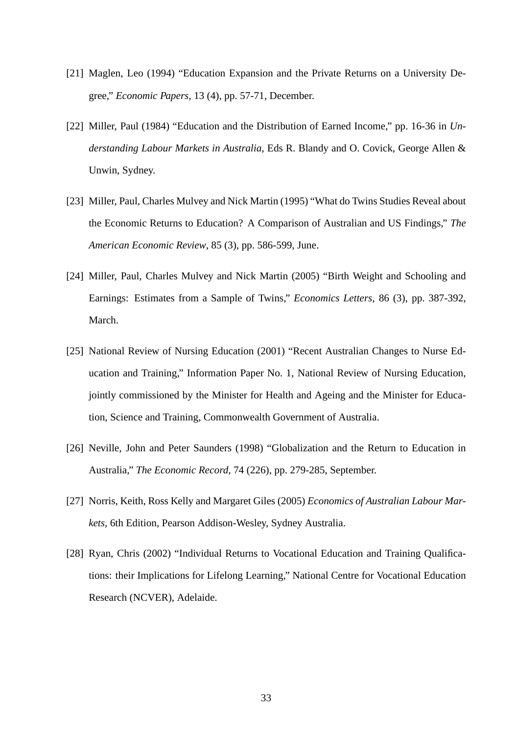- [21] Maglen, Leo (1994) "Education Expansion and the Private Returns on a University Degree," *Economic Papers*, 13 (4), pp. 57-71, December.
- [22] Miller, Paul (1984) "Education and the Distribution of Earned Income," pp. 16-36 in *Understanding Labour Markets in Australia*, Eds R. Blandy and O. Covick, George Allen & Unwin, Sydney.
- [23] Miller, Paul, Charles Mulvey and Nick Martin (1995) "What do Twins Studies Reveal about the Economic Returns to Education? A Comparison of Australian and US Findings," *The American Economic Review*, 85 (3), pp. 586-599, June.
- [24] Miller, Paul, Charles Mulvey and Nick Martin (2005) "Birth Weight and Schooling and Earnings: Estimates from a Sample of Twins," *Economics Letters*, 86 (3), pp. 387-392, March.
- [25] National Review of Nursing Education (2001) "Recent Australian Changes to Nurse Education and Training," Information Paper No. 1, National Review of Nursing Education, jointly commissioned by the Minister for Health and Ageing and the Minister for Education, Science and Training, Commonwealth Government of Australia.
- [26] Neville, John and Peter Saunders (1998) "Globalization and the Return to Education in Australia," *The Economic Record*, 74 (226), pp. 279-285, September.
- [27] Norris, Keith, Ross Kelly and Margaret Giles (2005) *Economics of Australian Labour Markets*, 6th Edition, Pearson Addison-Wesley, Sydney Australia.
- [28] Ryan, Chris (2002) "Individual Returns to Vocational Education and Training Qualifications: their Implications for Lifelong Learning," National Centre for Vocational Education Research (NCVER), Adelaide.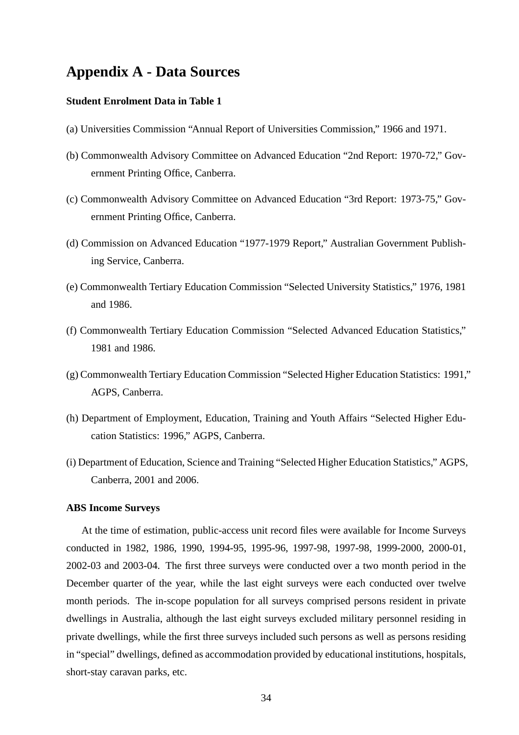# **Appendix A - Data Sources**

### **Student Enrolment Data in Table 1**

- (a) Universities Commission "Annual Report of Universities Commission," 1966 and 1971.
- (b) Commonwealth Advisory Committee on Advanced Education "2nd Report: 1970-72," Government Printing Office, Canberra.
- (c) Commonwealth Advisory Committee on Advanced Education "3rd Report: 1973-75," Government Printing Office, Canberra.
- (d) Commission on Advanced Education "1977-1979 Report," Australian Government Publishing Service, Canberra.
- (e) Commonwealth Tertiary Education Commission "Selected University Statistics," 1976, 1981 and 1986.
- (f) Commonwealth Tertiary Education Commission "Selected Advanced Education Statistics," 1981 and 1986.
- (g) Commonwealth Tertiary Education Commission "Selected Higher Education Statistics: 1991," AGPS, Canberra.
- (h) Department of Employment, Education, Training and Youth Affairs "Selected Higher Education Statistics: 1996," AGPS, Canberra.
- (i) Department of Education, Science and Training "Selected Higher Education Statistics," AGPS, Canberra, 2001 and 2006.

#### **ABS Income Surveys**

At the time of estimation, public-access unit record files were available for Income Surveys conducted in 1982, 1986, 1990, 1994-95, 1995-96, 1997-98, 1997-98, 1999-2000, 2000-01, 2002-03 and 2003-04. The first three surveys were conducted over a two month period in the December quarter of the year, while the last eight surveys were each conducted over twelve month periods. The in-scope population for all surveys comprised persons resident in private dwellings in Australia, although the last eight surveys excluded military personnel residing in private dwellings, while the first three surveys included such persons as well as persons residing in "special" dwellings, defined as accommodation provided by educational institutions, hospitals, short-stay caravan parks, etc.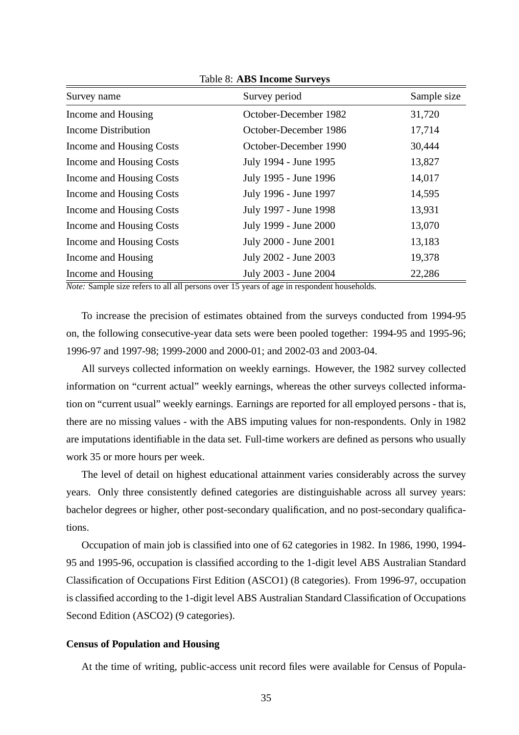| Survey name                | Survey period         | Sample size |
|----------------------------|-----------------------|-------------|
| Income and Housing         | October-December 1982 | 31,720      |
| <b>Income Distribution</b> | October-December 1986 | 17,714      |
| Income and Housing Costs   | October-December 1990 | 30,444      |
| Income and Housing Costs   | July 1994 - June 1995 | 13,827      |
| Income and Housing Costs   | July 1995 - June 1996 | 14,017      |
| Income and Housing Costs   | July 1996 - June 1997 | 14,595      |
| Income and Housing Costs   | July 1997 - June 1998 | 13,931      |
| Income and Housing Costs   | July 1999 - June 2000 | 13,070      |
| Income and Housing Costs   | July 2000 - June 2001 | 13,183      |
| Income and Housing         | July 2002 - June 2003 | 19,378      |
| Income and Housing         | July 2003 - June 2004 | 22,286      |

Table 8: **ABS Income Surveys**

*Note:* Sample size refers to all all persons over 15 years of age in respondent households.

To increase the precision of estimates obtained from the surveys conducted from 1994-95 on, the following consecutive-year data sets were been pooled together: 1994-95 and 1995-96; 1996-97 and 1997-98; 1999-2000 and 2000-01; and 2002-03 and 2003-04.

All surveys collected information on weekly earnings. However, the 1982 survey collected information on "current actual" weekly earnings, whereas the other surveys collected information on "current usual" weekly earnings. Earnings are reported for all employed persons - that is, there are no missing values - with the ABS imputing values for non-respondents. Only in 1982 are imputations identifiable in the data set. Full-time workers are defined as persons who usually work 35 or more hours per week.

The level of detail on highest educational attainment varies considerably across the survey years. Only three consistently defined categories are distinguishable across all survey years: bachelor degrees or higher, other post-secondary qualification, and no post-secondary qualifications.

Occupation of main job is classified into one of 62 categories in 1982. In 1986, 1990, 1994- 95 and 1995-96, occupation is classified according to the 1-digit level ABS Australian Standard Classification of Occupations First Edition (ASCO1) (8 categories). From 1996-97, occupation is classified according to the 1-digit level ABS Australian Standard Classification of Occupations Second Edition (ASCO2) (9 categories).

#### **Census of Population and Housing**

At the time of writing, public-access unit record files were available for Census of Popula-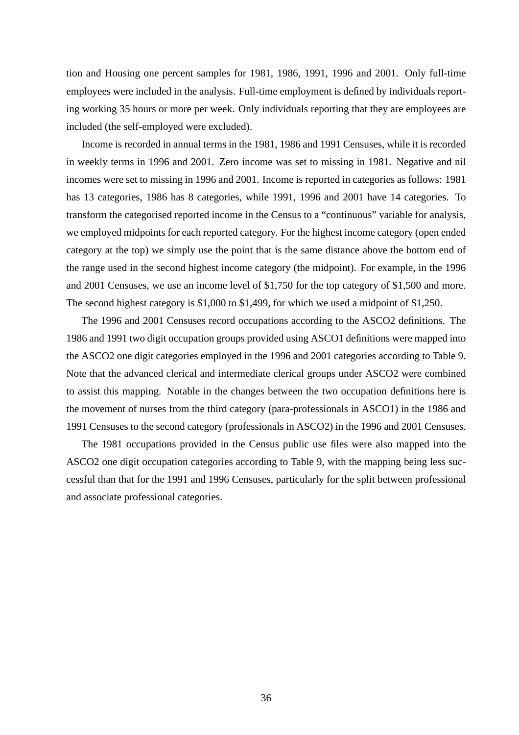tion and Housing one percent samples for 1981, 1986, 1991, 1996 and 2001. Only full-time employees were included in the analysis. Full-time employment is defined by individuals reporting working 35 hours or more per week. Only individuals reporting that they are employees are included (the self-employed were excluded).

Income is recorded in annual terms in the 1981, 1986 and 1991 Censuses, while it is recorded in weekly terms in 1996 and 2001. Zero income was set to missing in 1981. Negative and nil incomes were set to missing in 1996 and 2001. Income is reported in categories as follows: 1981 has 13 categories, 1986 has 8 categories, while 1991, 1996 and 2001 have 14 categories. To transform the categorised reported income in the Census to a "continuous" variable for analysis, we employed midpoints for each reported category. For the highest income category (open ended category at the top) we simply use the point that is the same distance above the bottom end of the range used in the second highest income category (the midpoint). For example, in the 1996 and 2001 Censuses, we use an income level of \$1,750 for the top category of \$1,500 and more. The second highest category is \$1,000 to \$1,499, for which we used a midpoint of \$1,250.

The 1996 and 2001 Censuses record occupations according to the ASCO2 definitions. The 1986 and 1991 two digit occupation groups provided using ASCO1 definitions were mapped into the ASCO2 one digit categories employed in the 1996 and 2001 categories according to Table 9. Note that the advanced clerical and intermediate clerical groups under ASCO2 were combined to assist this mapping. Notable in the changes between the two occupation definitions here is the movement of nurses from the third category (para-professionals in ASCO1) in the 1986 and 1991 Censuses to the second category (professionals in ASCO2) in the 1996 and 2001 Censuses.

The 1981 occupations provided in the Census public use files were also mapped into the ASCO2 one digit occupation categories according to Table 9, with the mapping being less successful than that for the 1991 and 1996 Censuses, particularly for the split between professional and associate professional categories.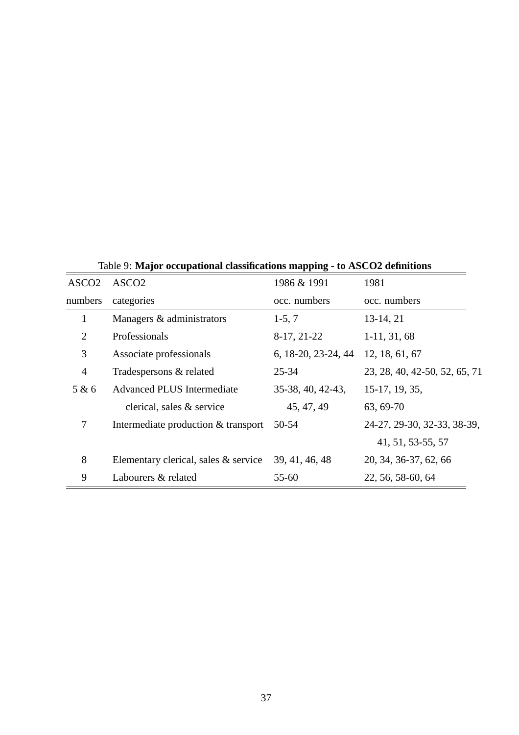|                   |                                      | . .                 |                               |
|-------------------|--------------------------------------|---------------------|-------------------------------|
| ASCO <sub>2</sub> | ASCO <sub>2</sub>                    | 1986 & 1991         | 1981                          |
| numbers           | categories                           | occ. numbers        | occ. numbers                  |
| 1                 | Managers & administrators            | $1-5, 7$            | 13-14, 21                     |
| $\overline{2}$    | Professionals                        | 8-17, 21-22         | $1-11, 31, 68$                |
| 3                 | Associate professionals              | 6, 18-20, 23-24, 44 | 12, 18, 61, 67                |
| $\overline{4}$    | Tradespersons & related              | $25 - 34$           | 23, 28, 40, 42-50, 52, 65, 71 |
| 5 & 6             | <b>Advanced PLUS Intermediate</b>    | 35-38, 40, 42-43,   | 15-17, 19, 35,                |
|                   | clerical, sales & service            | 45, 47, 49          | 63, 69-70                     |
| 7                 | Intermediate production & transport  | 50-54               | 24-27, 29-30, 32-33, 38-39,   |
|                   |                                      |                     | 41, 51, 53-55, 57             |
| 8                 | Elementary clerical, sales & service | 39, 41, 46, 48      | 20, 34, 36-37, 62, 66         |
| 9                 | Labourers & related                  | 55-60               | 22, 56, 58-60, 64             |

Table 9: **Major occupational classifications mapping - to ASCO2 definitions**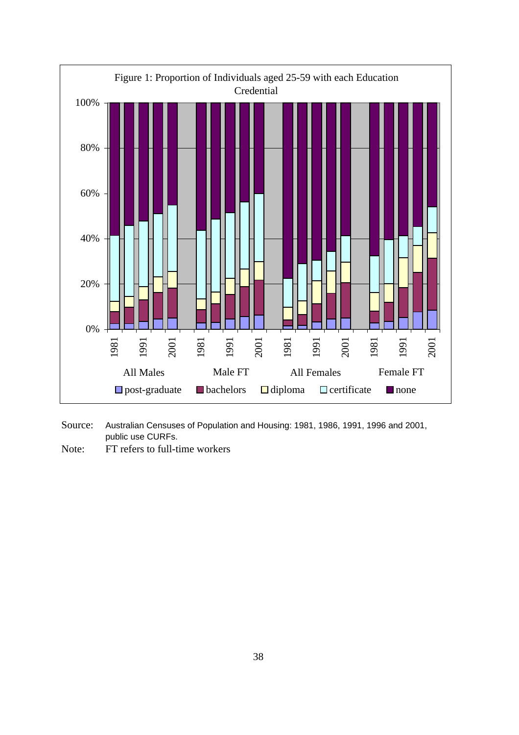

- Source: Australian Censuses of Population and Housing: 1981, 1986, 1991, 1996 and 2001, public use CURFs.
- Note: FT refers to full-time workers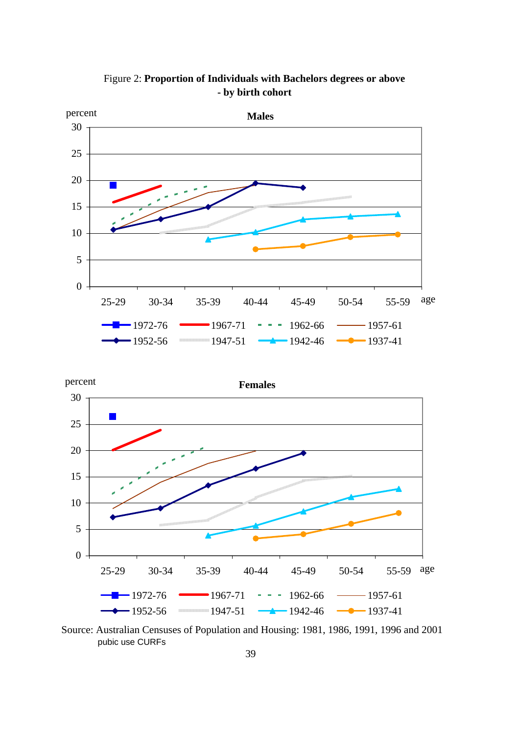

Figure 2: **Proportion of Individuals with Bachelors degrees or above - by birth cohort**

![](_page_39_Figure_2.jpeg)

Source: Australian Censuses of Population and Housing: 1981, 1986, 1991, 1996 and 2001 pubic use CURFs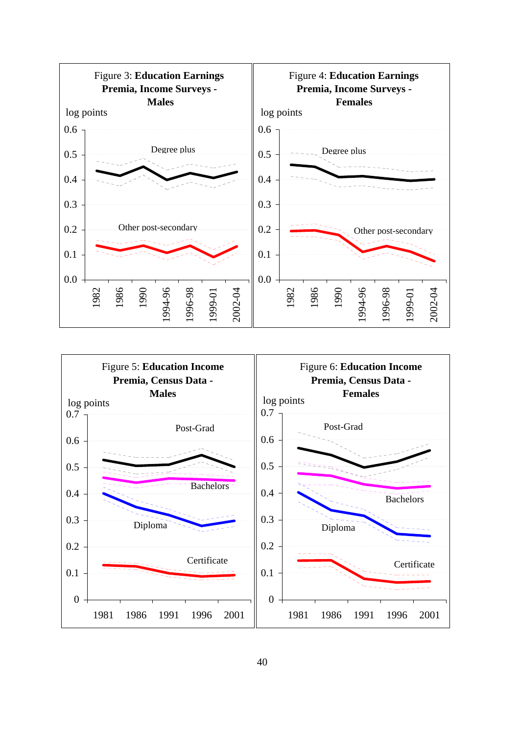![](_page_40_Figure_0.jpeg)

![](_page_40_Figure_1.jpeg)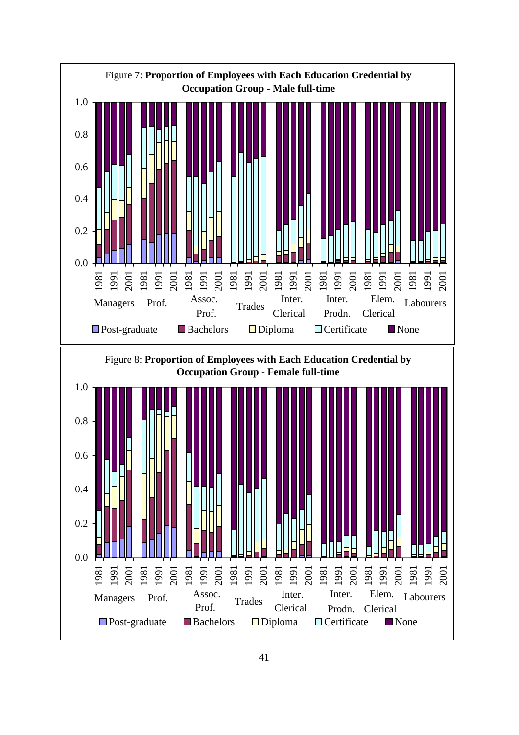![](_page_41_Figure_0.jpeg)